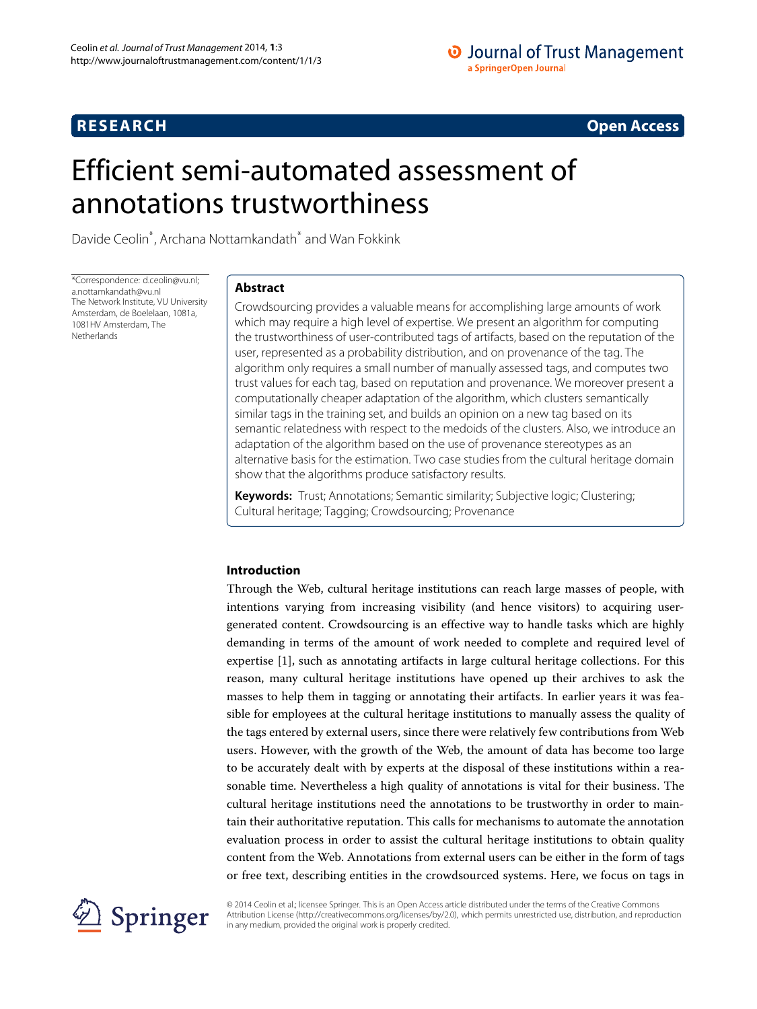# **O** Journal of Trust Management a SpringerOpen Journal

**RESEARCH Open Access**

# Efficient semi-automated assessment of annotations trustworthiness

Davide Ceolin<sup>\*</sup>, Archana Nottamkandath<sup>\*</sup> and Wan Fokkink

\*Correspondence: [d.ceolin@vu.nl;](mailto:d.ceolin@vu.nl) [a.nottamkandath@vu.nl](mailto:a.nottamkandath@vu.nl) The Network Institute, VU University Amsterdam, de Boelelaan, 1081a, 1081HV Amsterdam, The Netherlands

# **Abstract**

Crowdsourcing provides a valuable means for accomplishing large amounts of work which may require a high level of expertise. We present an algorithm for computing the trustworthiness of user-contributed tags of artifacts, based on the reputation of the user, represented as a probability distribution, and on provenance of the tag. The algorithm only requires a small number of manually assessed tags, and computes two trust values for each tag, based on reputation and provenance. We moreover present a computationally cheaper adaptation of the algorithm, which clusters semantically similar tags in the training set, and builds an opinion on a new tag based on its semantic relatedness with respect to the medoids of the clusters. Also, we introduce an adaptation of the algorithm based on the use of provenance stereotypes as an alternative basis for the estimation. Two case studies from the cultural heritage domain show that the algorithms produce satisfactory results.

**Keywords:** Trust; Annotations; Semantic similarity; Subjective logic; Clustering; Cultural heritage; Tagging; Crowdsourcing; Provenance

# **Introduction**

Through the Web, cultural heritage institutions can reach large masses of people, with intentions varying from increasing visibility (and hence visitors) to acquiring usergenerated content. Crowdsourcing is an effective way to handle tasks which are highly demanding in terms of the amount of work needed to complete and required level of expertise [\[1\]](#page-29-0), such as annotating artifacts in large cultural heritage collections. For this reason, many cultural heritage institutions have opened up their archives to ask the masses to help them in tagging or annotating their artifacts. In earlier years it was feasible for employees at the cultural heritage institutions to manually assess the quality of the tags entered by external users, since there were relatively few contributions from Web users. However, with the growth of the Web, the amount of data has become too large to be accurately dealt with by experts at the disposal of these institutions within a reasonable time. Nevertheless a high quality of annotations is vital for their business. The cultural heritage institutions need the annotations to be trustworthy in order to maintain their authoritative reputation. This calls for mechanisms to automate the annotation evaluation process in order to assist the cultural heritage institutions to obtain quality content from the Web. Annotations from external users can be either in the form of tags or free text, describing entities in the crowdsourced systems. Here, we focus on tags in



© 2014 Ceolin et al.; licensee Springer. This is an Open Access article distributed under the terms of the Creative Commons Attribution License [\(http://creativecommons.org/licenses/by/2.0\)](http://creativecommons.org/licenses/by/2.0), which permits unrestricted use, distribution, and reproduction in any medium, provided the original work is properly credited.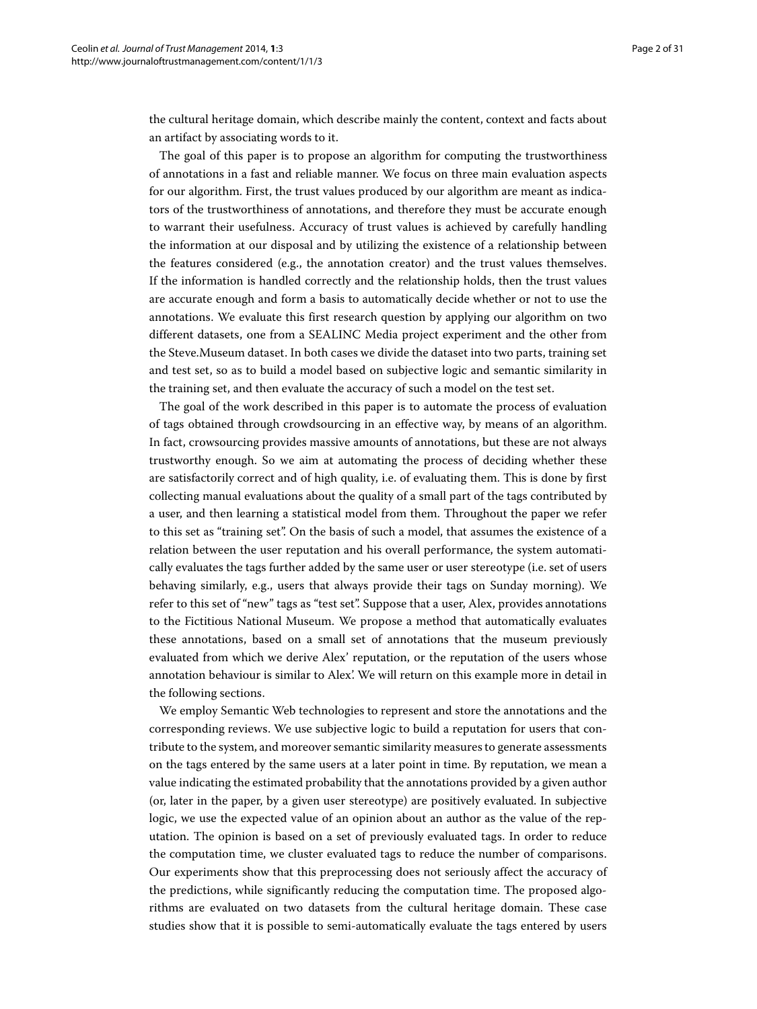the cultural heritage domain, which describe mainly the content, context and facts about an artifact by associating words to it.

The goal of this paper is to propose an algorithm for computing the trustworthiness of annotations in a fast and reliable manner. We focus on three main evaluation aspects for our algorithm. First, the trust values produced by our algorithm are meant as indicators of the trustworthiness of annotations, and therefore they must be accurate enough to warrant their usefulness. Accuracy of trust values is achieved by carefully handling the information at our disposal and by utilizing the existence of a relationship between the features considered (e.g., the annotation creator) and the trust values themselves. If the information is handled correctly and the relationship holds, then the trust values are accurate enough and form a basis to automatically decide whether or not to use the annotations. We evaluate this first research question by applying our algorithm on two different datasets, one from a SEALINC Media project experiment and the other from the Steve.Museum dataset. In both cases we divide the dataset into two parts, training set and test set, so as to build a model based on subjective logic and semantic similarity in the training set, and then evaluate the accuracy of such a model on the test set.

The goal of the work described in this paper is to automate the process of evaluation of tags obtained through crowdsourcing in an effective way, by means of an algorithm. In fact, crowsourcing provides massive amounts of annotations, but these are not always trustworthy enough. So we aim at automating the process of deciding whether these are satisfactorily correct and of high quality, i.e. of evaluating them. This is done by first collecting manual evaluations about the quality of a small part of the tags contributed by a user, and then learning a statistical model from them. Throughout the paper we refer to this set as "training set". On the basis of such a model, that assumes the existence of a relation between the user reputation and his overall performance, the system automatically evaluates the tags further added by the same user or user stereotype (i.e. set of users behaving similarly, e.g., users that always provide their tags on Sunday morning). We refer to this set of "new" tags as "test set". Suppose that a user, Alex, provides annotations to the Fictitious National Museum. We propose a method that automatically evaluates these annotations, based on a small set of annotations that the museum previously evaluated from which we derive Alex' reputation, or the reputation of the users whose annotation behaviour is similar to Alex'. We will return on this example more in detail in the following sections.

We employ Semantic Web technologies to represent and store the annotations and the corresponding reviews. We use subjective logic to build a reputation for users that contribute to the system, and moreover semantic similarity measures to generate assessments on the tags entered by the same users at a later point in time. By reputation, we mean a value indicating the estimated probability that the annotations provided by a given author (or, later in the paper, by a given user stereotype) are positively evaluated. In subjective logic, we use the expected value of an opinion about an author as the value of the reputation. The opinion is based on a set of previously evaluated tags. In order to reduce the computation time, we cluster evaluated tags to reduce the number of comparisons. Our experiments show that this preprocessing does not seriously affect the accuracy of the predictions, while significantly reducing the computation time. The proposed algorithms are evaluated on two datasets from the cultural heritage domain. These case studies show that it is possible to semi-automatically evaluate the tags entered by users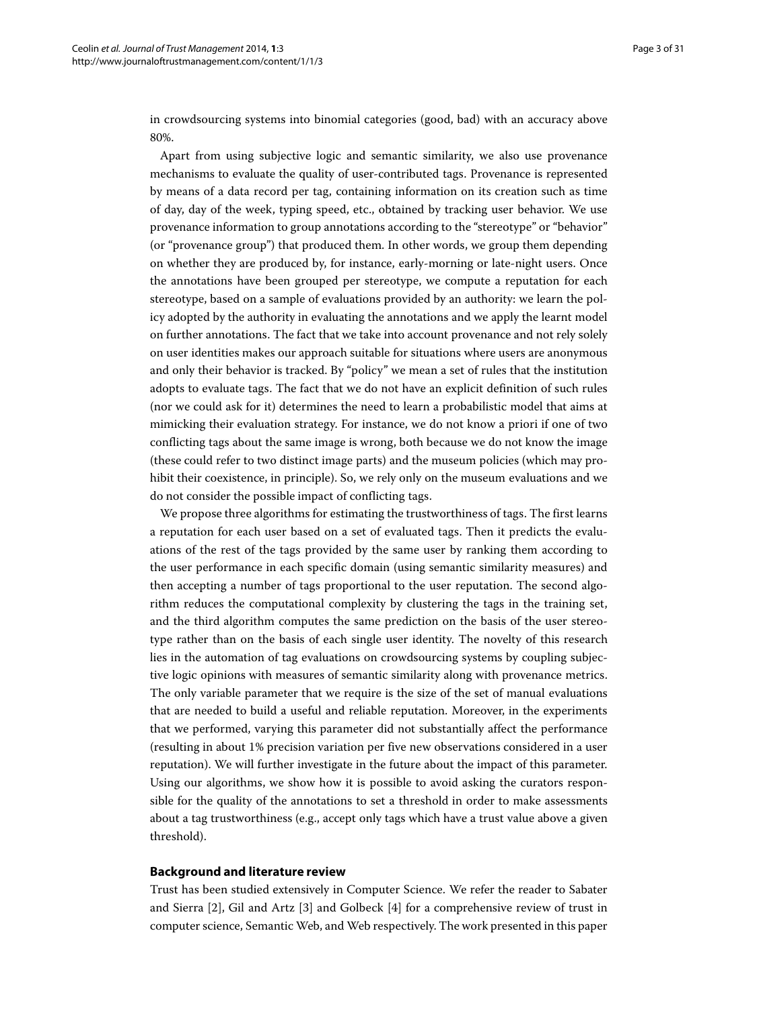in crowdsourcing systems into binomial categories (good, bad) with an accuracy above 80%.

Apart from using subjective logic and semantic similarity, we also use provenance mechanisms to evaluate the quality of user-contributed tags. Provenance is represented by means of a data record per tag, containing information on its creation such as time of day, day of the week, typing speed, etc., obtained by tracking user behavior. We use provenance information to group annotations according to the "stereotype" or "behavior" (or "provenance group") that produced them. In other words, we group them depending on whether they are produced by, for instance, early-morning or late-night users. Once the annotations have been grouped per stereotype, we compute a reputation for each stereotype, based on a sample of evaluations provided by an authority: we learn the policy adopted by the authority in evaluating the annotations and we apply the learnt model on further annotations. The fact that we take into account provenance and not rely solely on user identities makes our approach suitable for situations where users are anonymous and only their behavior is tracked. By "policy" we mean a set of rules that the institution adopts to evaluate tags. The fact that we do not have an explicit definition of such rules (nor we could ask for it) determines the need to learn a probabilistic model that aims at mimicking their evaluation strategy. For instance, we do not know a priori if one of two conflicting tags about the same image is wrong, both because we do not know the image (these could refer to two distinct image parts) and the museum policies (which may prohibit their coexistence, in principle). So, we rely only on the museum evaluations and we do not consider the possible impact of conflicting tags.

We propose three algorithms for estimating the trustworthiness of tags. The first learns a reputation for each user based on a set of evaluated tags. Then it predicts the evaluations of the rest of the tags provided by the same user by ranking them according to the user performance in each specific domain (using semantic similarity measures) and then accepting a number of tags proportional to the user reputation. The second algorithm reduces the computational complexity by clustering the tags in the training set, and the third algorithm computes the same prediction on the basis of the user stereotype rather than on the basis of each single user identity. The novelty of this research lies in the automation of tag evaluations on crowdsourcing systems by coupling subjective logic opinions with measures of semantic similarity along with provenance metrics. The only variable parameter that we require is the size of the set of manual evaluations that are needed to build a useful and reliable reputation. Moreover, in the experiments that we performed, varying this parameter did not substantially affect the performance (resulting in about 1% precision variation per five new observations considered in a user reputation). We will further investigate in the future about the impact of this parameter. Using our algorithms, we show how it is possible to avoid asking the curators responsible for the quality of the annotations to set a threshold in order to make assessments about a tag trustworthiness (e.g., accept only tags which have a trust value above a given threshold).

### **Background and literature review**

Trust has been studied extensively in Computer Science. We refer the reader to Sabater and Sierra [\[2\]](#page-29-1), Gil and Artz [\[3\]](#page-29-2) and Golbeck [\[4\]](#page-29-3) for a comprehensive review of trust in computer science, Semantic Web, and Web respectively. The work presented in this paper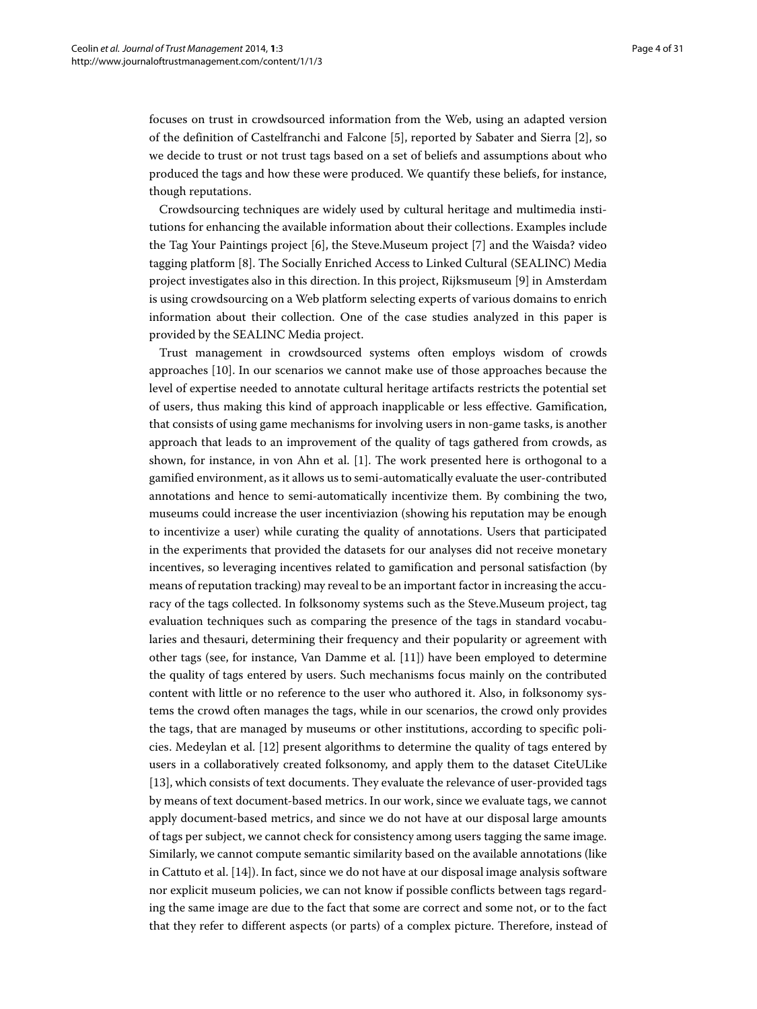focuses on trust in crowdsourced information from the Web, using an adapted version of the definition of Castelfranchi and Falcone [\[5\]](#page-29-4), reported by Sabater and Sierra [\[2\]](#page-29-1), so we decide to trust or not trust tags based on a set of beliefs and assumptions about who produced the tags and how these were produced. We quantify these beliefs, for instance, though reputations.

Crowdsourcing techniques are widely used by cultural heritage and multimedia institutions for enhancing the available information about their collections. Examples include the Tag Your Paintings project [\[6\]](#page-29-5), the Steve.Museum project [\[7\]](#page-29-6) and the Waisda? video tagging platform [\[8\]](#page-29-7). The Socially Enriched Access to Linked Cultural (SEALINC) Media project investigates also in this direction. In this project, Rijksmuseum [\[9\]](#page-29-8) in Amsterdam is using crowdsourcing on a Web platform selecting experts of various domains to enrich information about their collection. One of the case studies analyzed in this paper is provided by the SEALINC Media project.

Trust management in crowdsourced systems often employs wisdom of crowds approaches [\[10\]](#page-29-9). In our scenarios we cannot make use of those approaches because the level of expertise needed to annotate cultural heritage artifacts restricts the potential set of users, thus making this kind of approach inapplicable or less effective. Gamification, that consists of using game mechanisms for involving users in non-game tasks, is another approach that leads to an improvement of the quality of tags gathered from crowds, as shown, for instance, in von Ahn et al. [\[1\]](#page-29-0). The work presented here is orthogonal to a gamified environment, as it allows us to semi-automatically evaluate the user-contributed annotations and hence to semi-automatically incentivize them. By combining the two, museums could increase the user incentiviazion (showing his reputation may be enough to incentivize a user) while curating the quality of annotations. Users that participated in the experiments that provided the datasets for our analyses did not receive monetary incentives, so leveraging incentives related to gamification and personal satisfaction (by means of reputation tracking) may reveal to be an important factor in increasing the accuracy of the tags collected. In folksonomy systems such as the Steve.Museum project, tag evaluation techniques such as comparing the presence of the tags in standard vocabularies and thesauri, determining their frequency and their popularity or agreement with other tags (see, for instance, Van Damme et al. [\[11\]](#page-29-10)) have been employed to determine the quality of tags entered by users. Such mechanisms focus mainly on the contributed content with little or no reference to the user who authored it. Also, in folksonomy systems the crowd often manages the tags, while in our scenarios, the crowd only provides the tags, that are managed by museums or other institutions, according to specific policies. Medeylan et al. [\[12\]](#page-29-11) present algorithms to determine the quality of tags entered by users in a collaboratively created folksonomy, and apply them to the dataset CiteULike [\[13\]](#page-29-12), which consists of text documents. They evaluate the relevance of user-provided tags by means of text document-based metrics. In our work, since we evaluate tags, we cannot apply document-based metrics, and since we do not have at our disposal large amounts of tags per subject, we cannot check for consistency among users tagging the same image. Similarly, we cannot compute semantic similarity based on the available annotations (like in Cattuto et al. [\[14\]](#page-29-13)). In fact, since we do not have at our disposal image analysis software nor explicit museum policies, we can not know if possible conflicts between tags regarding the same image are due to the fact that some are correct and some not, or to the fact that they refer to different aspects (or parts) of a complex picture. Therefore, instead of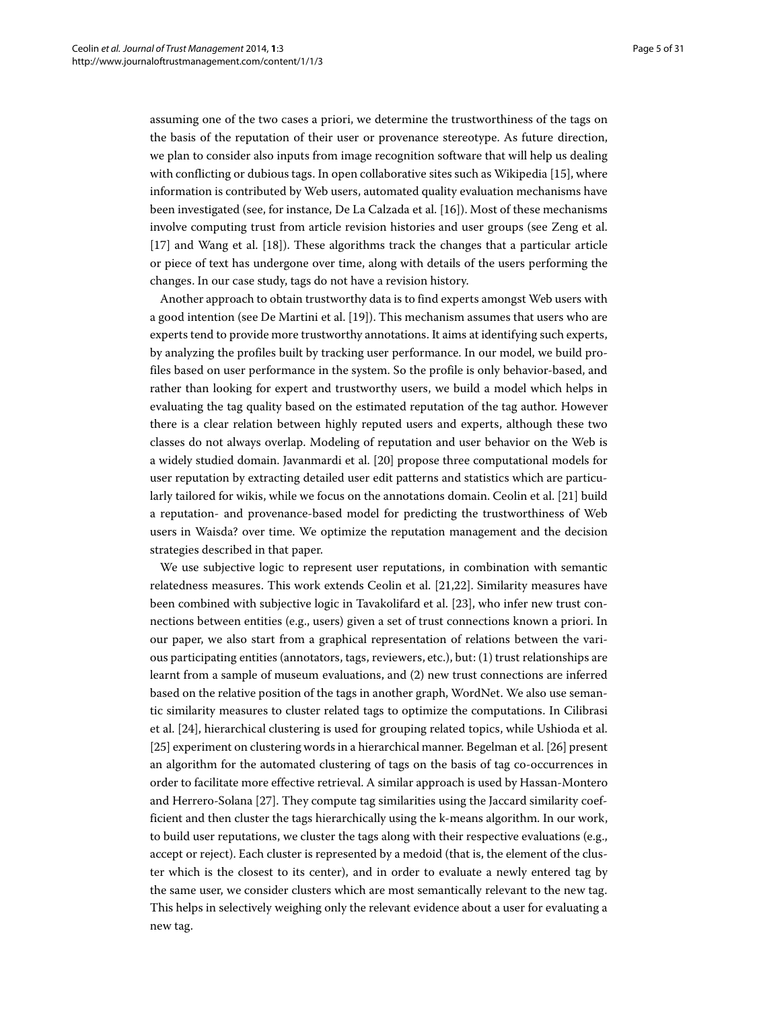assuming one of the two cases a priori, we determine the trustworthiness of the tags on the basis of the reputation of their user or provenance stereotype. As future direction, we plan to consider also inputs from image recognition software that will help us dealing with conflicting or dubious tags. In open collaborative sites such as Wikipedia [\[15\]](#page-29-14), where information is contributed by Web users, automated quality evaluation mechanisms have been investigated (see, for instance, De La Calzada et al. [\[16\]](#page-29-15)). Most of these mechanisms involve computing trust from article revision histories and user groups (see Zeng et al. [\[17\]](#page-29-16) and Wang et al. [\[18\]](#page-29-17)). These algorithms track the changes that a particular article or piece of text has undergone over time, along with details of the users performing the changes. In our case study, tags do not have a revision history.

Another approach to obtain trustworthy data is to find experts amongst Web users with a good intention (see De Martini et al. [\[19\]](#page-29-18)). This mechanism assumes that users who are experts tend to provide more trustworthy annotations. It aims at identifying such experts, by analyzing the profiles built by tracking user performance. In our model, we build profiles based on user performance in the system. So the profile is only behavior-based, and rather than looking for expert and trustworthy users, we build a model which helps in evaluating the tag quality based on the estimated reputation of the tag author. However there is a clear relation between highly reputed users and experts, although these two classes do not always overlap. Modeling of reputation and user behavior on the Web is a widely studied domain. Javanmardi et al. [\[20\]](#page-29-19) propose three computational models for user reputation by extracting detailed user edit patterns and statistics which are particularly tailored for wikis, while we focus on the annotations domain. Ceolin et al. [\[21\]](#page-29-20) build a reputation- and provenance-based model for predicting the trustworthiness of Web users in Waisda? over time. We optimize the reputation management and the decision strategies described in that paper.

We use subjective logic to represent user reputations, in combination with semantic relatedness measures. This work extends Ceolin et al. [\[21](#page-29-20)[,22\]](#page-29-21). Similarity measures have been combined with subjective logic in Tavakolifard et al. [\[23\]](#page-29-22), who infer new trust connections between entities (e.g., users) given a set of trust connections known a priori. In our paper, we also start from a graphical representation of relations between the various participating entities (annotators, tags, reviewers, etc.), but: (1) trust relationships are learnt from a sample of museum evaluations, and (2) new trust connections are inferred based on the relative position of the tags in another graph, WordNet. We also use semantic similarity measures to cluster related tags to optimize the computations. In Cilibrasi et al. [\[24\]](#page-29-23), hierarchical clustering is used for grouping related topics, while Ushioda et al. [\[25\]](#page-29-24) experiment on clustering words in a hierarchical manner. Begelman et al. [\[26\]](#page-29-25) present an algorithm for the automated clustering of tags on the basis of tag co-occurrences in order to facilitate more effective retrieval. A similar approach is used by Hassan-Montero and Herrero-Solana [\[27\]](#page-29-26). They compute tag similarities using the Jaccard similarity coefficient and then cluster the tags hierarchically using the k-means algorithm. In our work, to build user reputations, we cluster the tags along with their respective evaluations (e.g., accept or reject). Each cluster is represented by a medoid (that is, the element of the cluster which is the closest to its center), and in order to evaluate a newly entered tag by the same user, we consider clusters which are most semantically relevant to the new tag. This helps in selectively weighing only the relevant evidence about a user for evaluating a new tag.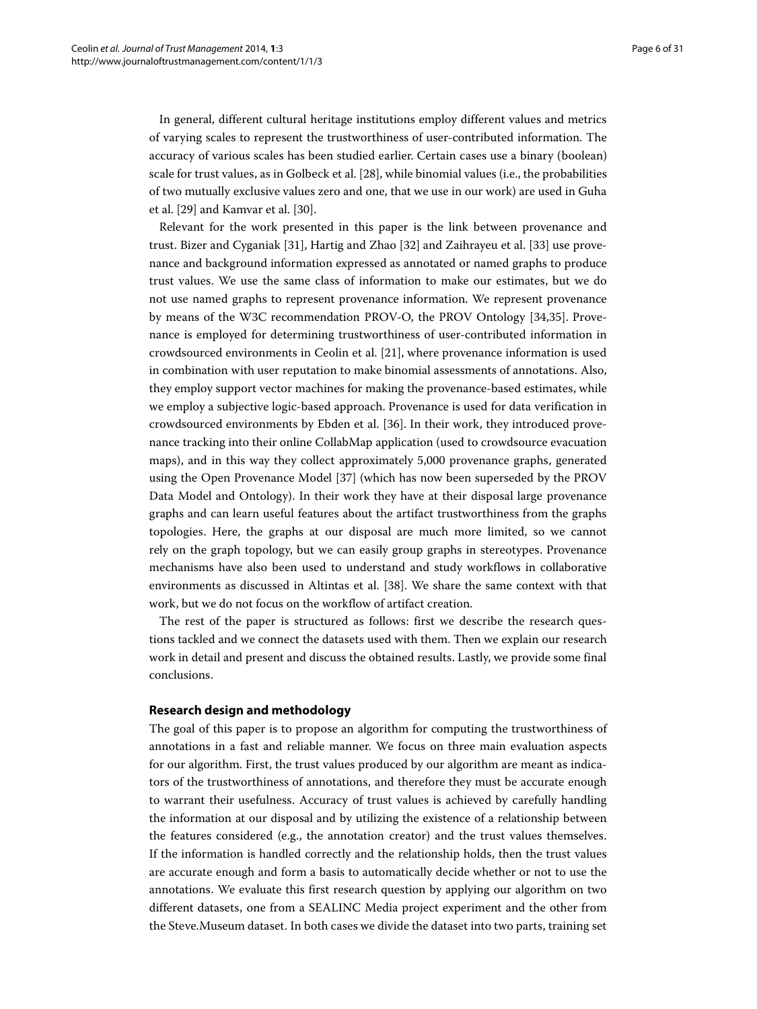In general, different cultural heritage institutions employ different values and metrics of varying scales to represent the trustworthiness of user-contributed information. The accuracy of various scales has been studied earlier. Certain cases use a binary (boolean) scale for trust values, as in Golbeck et al. [\[28\]](#page-29-27), while binomial values (i.e., the probabilities of two mutually exclusive values zero and one, that we use in our work) are used in Guha et al. [\[29\]](#page-29-28) and Kamvar et al. [\[30\]](#page-29-29).

Relevant for the work presented in this paper is the link between provenance and trust. Bizer and Cyganiak [\[31\]](#page-29-30), Hartig and Zhao [\[32\]](#page-29-31) and Zaihrayeu et al. [\[33\]](#page-29-32) use provenance and background information expressed as annotated or named graphs to produce trust values. We use the same class of information to make our estimates, but we do not use named graphs to represent provenance information. We represent provenance by means of the W3C recommendation PROV-O, the PROV Ontology [\[34,](#page-29-33)[35\]](#page-29-34). Provenance is employed for determining trustworthiness of user-contributed information in crowdsourced environments in Ceolin et al. [\[21\]](#page-29-20), where provenance information is used in combination with user reputation to make binomial assessments of annotations. Also, they employ support vector machines for making the provenance-based estimates, while we employ a subjective logic-based approach. Provenance is used for data verification in crowdsourced environments by Ebden et al. [\[36\]](#page-30-0). In their work, they introduced provenance tracking into their online CollabMap application (used to crowdsource evacuation maps), and in this way they collect approximately 5,000 provenance graphs, generated using the Open Provenance Model [\[37\]](#page-30-1) (which has now been superseded by the PROV Data Model and Ontology). In their work they have at their disposal large provenance graphs and can learn useful features about the artifact trustworthiness from the graphs topologies. Here, the graphs at our disposal are much more limited, so we cannot rely on the graph topology, but we can easily group graphs in stereotypes. Provenance mechanisms have also been used to understand and study workflows in collaborative environments as discussed in Altintas et al. [\[38\]](#page-30-2). We share the same context with that work, but we do not focus on the workflow of artifact creation.

The rest of the paper is structured as follows: first we describe the research questions tackled and we connect the datasets used with them. Then we explain our research work in detail and present and discuss the obtained results. Lastly, we provide some final conclusions.

# **Research design and methodology**

The goal of this paper is to propose an algorithm for computing the trustworthiness of annotations in a fast and reliable manner. We focus on three main evaluation aspects for our algorithm. First, the trust values produced by our algorithm are meant as indicators of the trustworthiness of annotations, and therefore they must be accurate enough to warrant their usefulness. Accuracy of trust values is achieved by carefully handling the information at our disposal and by utilizing the existence of a relationship between the features considered (e.g., the annotation creator) and the trust values themselves. If the information is handled correctly and the relationship holds, then the trust values are accurate enough and form a basis to automatically decide whether or not to use the annotations. We evaluate this first research question by applying our algorithm on two different datasets, one from a SEALINC Media project experiment and the other from the Steve.Museum dataset. In both cases we divide the dataset into two parts, training set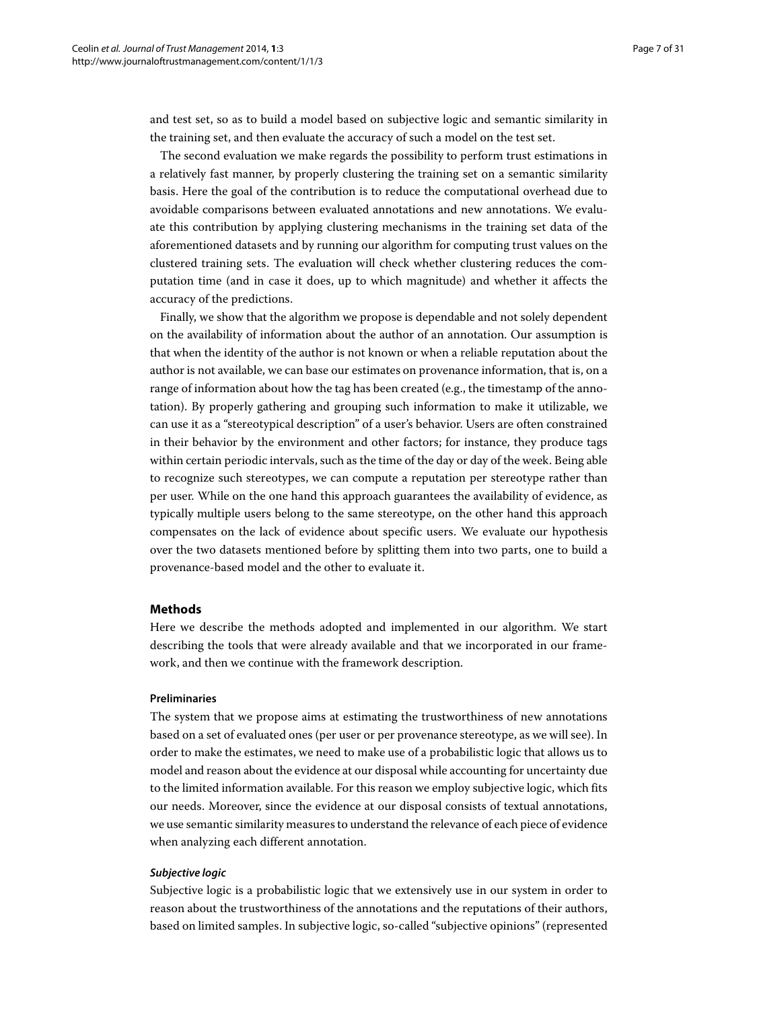and test set, so as to build a model based on subjective logic and semantic similarity in the training set, and then evaluate the accuracy of such a model on the test set.

The second evaluation we make regards the possibility to perform trust estimations in a relatively fast manner, by properly clustering the training set on a semantic similarity basis. Here the goal of the contribution is to reduce the computational overhead due to avoidable comparisons between evaluated annotations and new annotations. We evaluate this contribution by applying clustering mechanisms in the training set data of the aforementioned datasets and by running our algorithm for computing trust values on the clustered training sets. The evaluation will check whether clustering reduces the computation time (and in case it does, up to which magnitude) and whether it affects the accuracy of the predictions.

Finally, we show that the algorithm we propose is dependable and not solely dependent on the availability of information about the author of an annotation. Our assumption is that when the identity of the author is not known or when a reliable reputation about the author is not available, we can base our estimates on provenance information, that is, on a range of information about how the tag has been created (e.g., the timestamp of the annotation). By properly gathering and grouping such information to make it utilizable, we can use it as a "stereotypical description" of a user's behavior. Users are often constrained in their behavior by the environment and other factors; for instance, they produce tags within certain periodic intervals, such as the time of the day or day of the week. Being able to recognize such stereotypes, we can compute a reputation per stereotype rather than per user. While on the one hand this approach guarantees the availability of evidence, as typically multiple users belong to the same stereotype, on the other hand this approach compensates on the lack of evidence about specific users. We evaluate our hypothesis over the two datasets mentioned before by splitting them into two parts, one to build a provenance-based model and the other to evaluate it.

### **Methods**

Here we describe the methods adopted and implemented in our algorithm. We start describing the tools that were already available and that we incorporated in our framework, and then we continue with the framework description.

### **Preliminaries**

The system that we propose aims at estimating the trustworthiness of new annotations based on a set of evaluated ones (per user or per provenance stereotype, as we will see). In order to make the estimates, we need to make use of a probabilistic logic that allows us to model and reason about the evidence at our disposal while accounting for uncertainty due to the limited information available. For this reason we employ subjective logic, which fits our needs. Moreover, since the evidence at our disposal consists of textual annotations, we use semantic similarity measures to understand the relevance of each piece of evidence when analyzing each different annotation.

#### *Subjective logic*

Subjective logic is a probabilistic logic that we extensively use in our system in order to reason about the trustworthiness of the annotations and the reputations of their authors, based on limited samples. In subjective logic, so-called "subjective opinions" (represented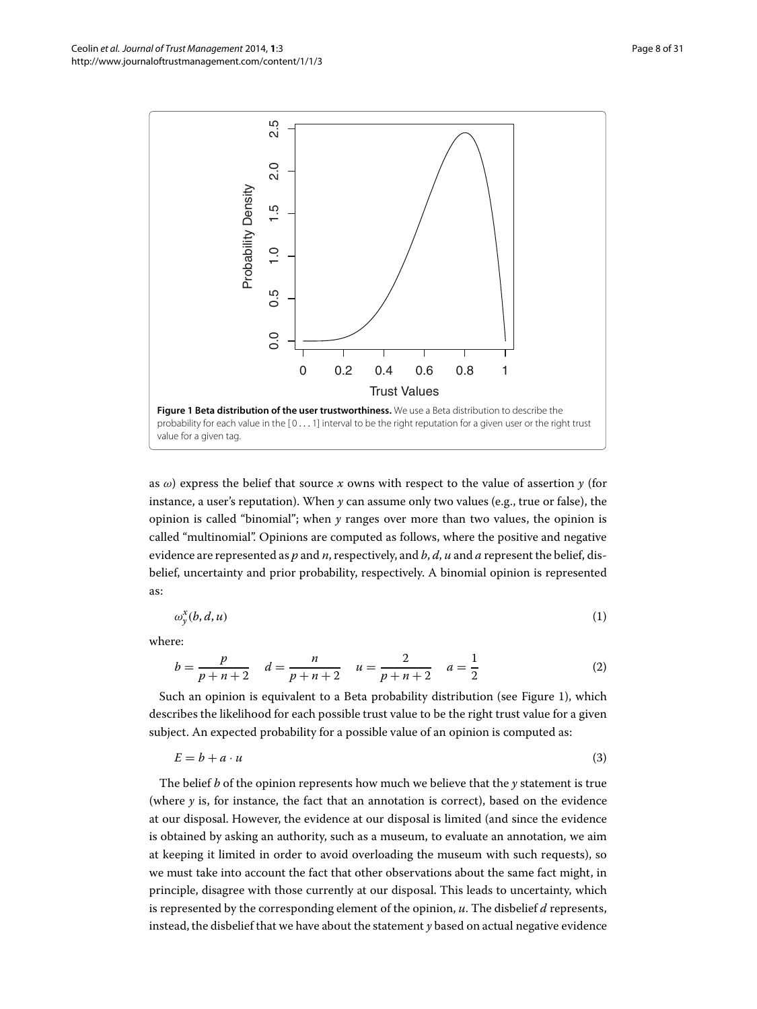

<span id="page-7-0"></span>as  $\omega$ ) express the belief that source *x* owns with respect to the value of assertion  $\gamma$  (for instance, a user's reputation). When *y* can assume only two values (e.g., true or false), the opinion is called "binomial"; when *y* ranges over more than two values, the opinion is called "multinomial". Opinions are computed as follows, where the positive and negative evidence are represented as *p* and *n*, respectively, and *b*, *d*, *u* and *a* represent the belief, disbelief, uncertainty and prior probability, respectively. A binomial opinion is represented as:

$$
\omega_{\mathcal{Y}}^{\mathcal{X}}(b,d,u) \tag{1}
$$

where:

$$
b = \frac{p}{p+n+2} \quad d = \frac{n}{p+n+2} \quad u = \frac{2}{p+n+2} \quad a = \frac{1}{2}
$$
 (2)

Such an opinion is equivalent to a Beta probability distribution (see Figure [1\)](#page-7-0), which describes the likelihood for each possible trust value to be the right trust value for a given subject. An expected probability for a possible value of an opinion is computed as:

$$
E = b + a \cdot u \tag{3}
$$

The belief *b* of the opinion represents how much we believe that the *y* statement is true (where *y* is, for instance, the fact that an annotation is correct), based on the evidence at our disposal. However, the evidence at our disposal is limited (and since the evidence is obtained by asking an authority, such as a museum, to evaluate an annotation, we aim at keeping it limited in order to avoid overloading the museum with such requests), so we must take into account the fact that other observations about the same fact might, in principle, disagree with those currently at our disposal. This leads to uncertainty, which is represented by the corresponding element of the opinion, *u*. The disbelief *d* represents, instead, the disbelief that we have about the statement *y* based on actual negative evidence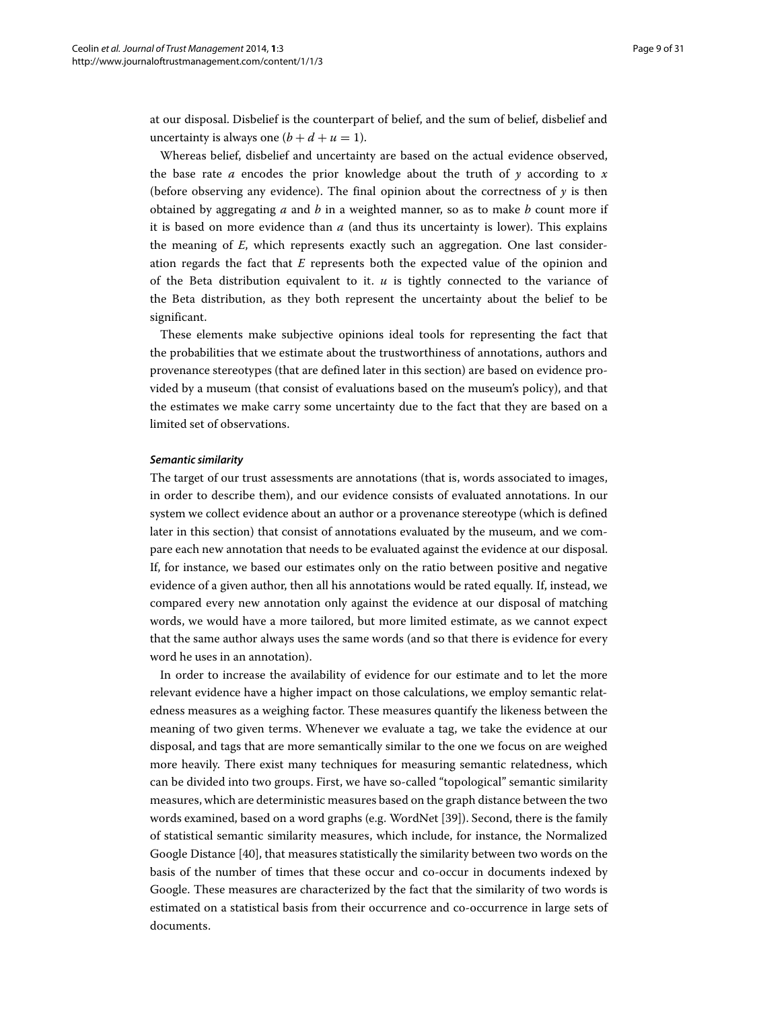at our disposal. Disbelief is the counterpart of belief, and the sum of belief, disbelief and uncertainty is always one  $(b + d + u = 1)$ .

Whereas belief, disbelief and uncertainty are based on the actual evidence observed, the base rate *a* encodes the prior knowledge about the truth of  $\gamma$  according to  $\chi$ (before observing any evidence). The final opinion about the correctness of  $y$  is then obtained by aggregating *a* and *b* in a weighted manner, so as to make *b* count more if it is based on more evidence than *a* (and thus its uncertainty is lower). This explains the meaning of *E*, which represents exactly such an aggregation. One last consideration regards the fact that *E* represents both the expected value of the opinion and of the Beta distribution equivalent to it.  $u$  is tightly connected to the variance of the Beta distribution, as they both represent the uncertainty about the belief to be significant.

These elements make subjective opinions ideal tools for representing the fact that the probabilities that we estimate about the trustworthiness of annotations, authors and provenance stereotypes (that are defined later in this section) are based on evidence provided by a museum (that consist of evaluations based on the museum's policy), and that the estimates we make carry some uncertainty due to the fact that they are based on a limited set of observations.

#### *Semantic similarity*

The target of our trust assessments are annotations (that is, words associated to images, in order to describe them), and our evidence consists of evaluated annotations. In our system we collect evidence about an author or a provenance stereotype (which is defined later in this section) that consist of annotations evaluated by the museum, and we compare each new annotation that needs to be evaluated against the evidence at our disposal. If, for instance, we based our estimates only on the ratio between positive and negative evidence of a given author, then all his annotations would be rated equally. If, instead, we compared every new annotation only against the evidence at our disposal of matching words, we would have a more tailored, but more limited estimate, as we cannot expect that the same author always uses the same words (and so that there is evidence for every word he uses in an annotation).

In order to increase the availability of evidence for our estimate and to let the more relevant evidence have a higher impact on those calculations, we employ semantic relatedness measures as a weighing factor. These measures quantify the likeness between the meaning of two given terms. Whenever we evaluate a tag, we take the evidence at our disposal, and tags that are more semantically similar to the one we focus on are weighed more heavily. There exist many techniques for measuring semantic relatedness, which can be divided into two groups. First, we have so-called "topological" semantic similarity measures, which are deterministic measures based on the graph distance between the two words examined, based on a word graphs (e.g. WordNet [\[39\]](#page-30-3)). Second, there is the family of statistical semantic similarity measures, which include, for instance, the Normalized Google Distance [\[40\]](#page-30-4), that measures statistically the similarity between two words on the basis of the number of times that these occur and co-occur in documents indexed by Google. These measures are characterized by the fact that the similarity of two words is estimated on a statistical basis from their occurrence and co-occurrence in large sets of documents.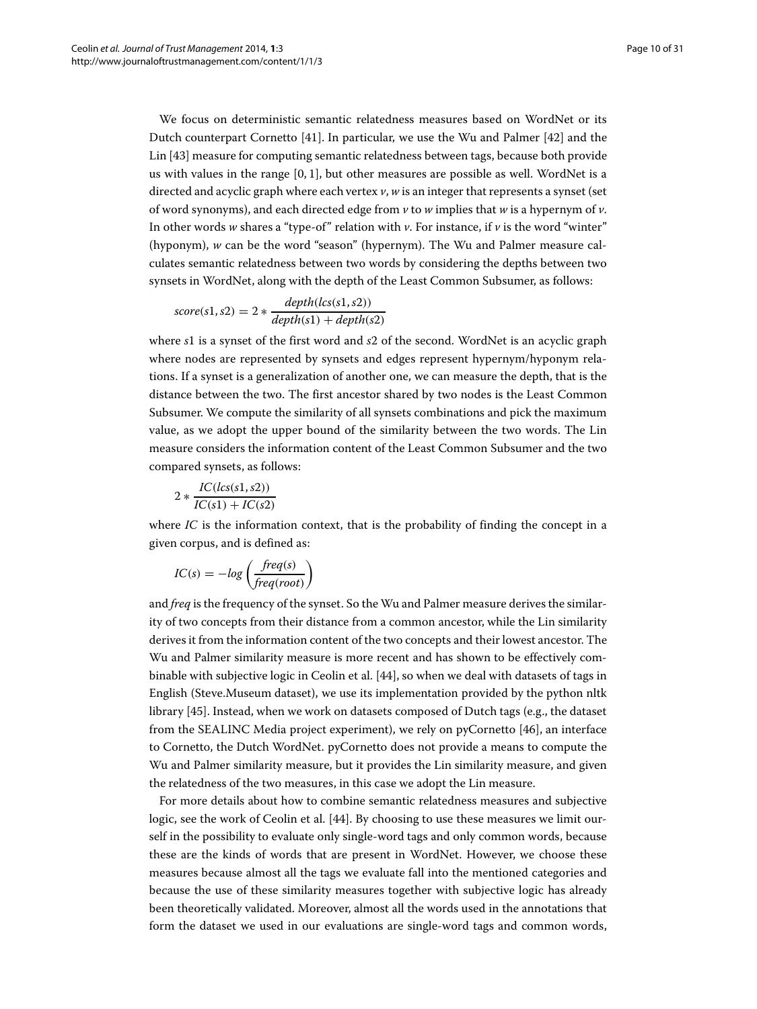We focus on deterministic semantic relatedness measures based on WordNet or its Dutch counterpart Cornetto [\[41\]](#page-30-5). In particular, we use the Wu and Palmer [\[42\]](#page-30-6) and the Lin [\[43\]](#page-30-7) measure for computing semantic relatedness between tags, because both provide us with values in the range [0, 1], but other measures are possible as well. WordNet is a directed and acyclic graph where each vertex *v*, *w* is an integer that represents a synset (set of word synonyms), and each directed edge from *v* to *w* implies that *w* is a hypernym of *v*. In other words  $w$  shares a "type-of" relation with  $v$ . For instance, if  $v$  is the word "winter" (hyponym), *w* can be the word "season" (hypernym). The Wu and Palmer measure calculates semantic relatedness between two words by considering the depths between two synsets in WordNet, along with the depth of the Least Common Subsumer, as follows:

$$
score(s1, s2) = 2 * \frac{depth(lcs(s1, s2))}{depth(s1) + depth(s2)}
$$

where *s*1 is a synset of the first word and *s*2 of the second. WordNet is an acyclic graph where nodes are represented by synsets and edges represent hypernym/hyponym relations. If a synset is a generalization of another one, we can measure the depth, that is the distance between the two. The first ancestor shared by two nodes is the Least Common Subsumer. We compute the similarity of all synsets combinations and pick the maximum value, as we adopt the upper bound of the similarity between the two words. The Lin measure considers the information content of the Least Common Subsumer and the two compared synsets, as follows:

$$
2 * \frac{IC(lcs(s1, s2))}{IC(s1) + IC(s2)}
$$

where *IC* is the information context, that is the probability of finding the concept in a given corpus, and is defined as:

$$
IC(s) = -log\left(\frac{freq(s)}{freq(root)}\right)
$$

and *freq* is the frequency of the synset. So the Wu and Palmer measure derives the similarity of two concepts from their distance from a common ancestor, while the Lin similarity derives it from the information content of the two concepts and their lowest ancestor. The Wu and Palmer similarity measure is more recent and has shown to be effectively combinable with subjective logic in Ceolin et al. [\[44\]](#page-30-8), so when we deal with datasets of tags in English (Steve.Museum dataset), we use its implementation provided by the python nltk library [\[45\]](#page-30-9). Instead, when we work on datasets composed of Dutch tags (e.g., the dataset from the SEALINC Media project experiment), we rely on pyCornetto [\[46\]](#page-30-10), an interface to Cornetto, the Dutch WordNet. pyCornetto does not provide a means to compute the Wu and Palmer similarity measure, but it provides the Lin similarity measure, and given the relatedness of the two measures, in this case we adopt the Lin measure.

For more details about how to combine semantic relatedness measures and subjective logic, see the work of Ceolin et al. [\[44\]](#page-30-8). By choosing to use these measures we limit ourself in the possibility to evaluate only single-word tags and only common words, because these are the kinds of words that are present in WordNet. However, we choose these measures because almost all the tags we evaluate fall into the mentioned categories and because the use of these similarity measures together with subjective logic has already been theoretically validated. Moreover, almost all the words used in the annotations that form the dataset we used in our evaluations are single-word tags and common words,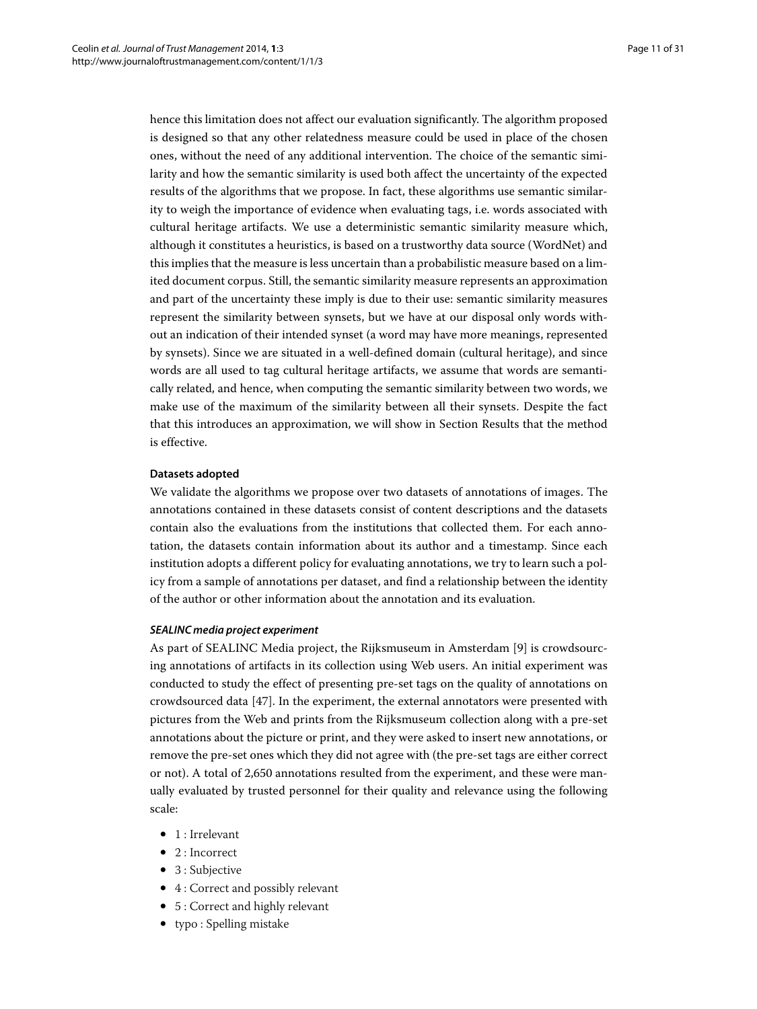hence this limitation does not affect our evaluation significantly. The algorithm proposed is designed so that any other relatedness measure could be used in place of the chosen ones, without the need of any additional intervention. The choice of the semantic similarity and how the semantic similarity is used both affect the uncertainty of the expected results of the algorithms that we propose. In fact, these algorithms use semantic similarity to weigh the importance of evidence when evaluating tags, i.e. words associated with cultural heritage artifacts. We use a deterministic semantic similarity measure which, although it constitutes a heuristics, is based on a trustworthy data source (WordNet) and this implies that the measure is less uncertain than a probabilistic measure based on a limited document corpus. Still, the semantic similarity measure represents an approximation and part of the uncertainty these imply is due to their use: semantic similarity measures represent the similarity between synsets, but we have at our disposal only words without an indication of their intended synset (a word may have more meanings, represented by synsets). Since we are situated in a well-defined domain (cultural heritage), and since words are all used to tag cultural heritage artifacts, we assume that words are semantically related, and hence, when computing the semantic similarity between two words, we make use of the maximum of the similarity between all their synsets. Despite the fact that this introduces an approximation, we will show in Section [Results](#page-22-0) that the method is effective.

# **Datasets adopted**

We validate the algorithms we propose over two datasets of annotations of images. The annotations contained in these datasets consist of content descriptions and the datasets contain also the evaluations from the institutions that collected them. For each annotation, the datasets contain information about its author and a timestamp. Since each institution adopts a different policy for evaluating annotations, we try to learn such a policy from a sample of annotations per dataset, and find a relationship between the identity of the author or other information about the annotation and its evaluation.

# *SEALINC media project experiment*

As part of SEALINC Media project, the Rijksmuseum in Amsterdam [\[9\]](#page-29-8) is crowdsourcing annotations of artifacts in its collection using Web users. An initial experiment was conducted to study the effect of presenting pre-set tags on the quality of annotations on crowdsourced data [\[47\]](#page-30-11). In the experiment, the external annotators were presented with pictures from the Web and prints from the Rijksmuseum collection along with a pre-set annotations about the picture or print, and they were asked to insert new annotations, or remove the pre-set ones which they did not agree with (the pre-set tags are either correct or not). A total of 2,650 annotations resulted from the experiment, and these were manually evaluated by trusted personnel for their quality and relevance using the following scale:

- 1 : Irrelevant
- 2 : Incorrect
- 3 : Subjective
- 4 : Correct and possibly relevant
- 5 : Correct and highly relevant
- typo : Spelling mistake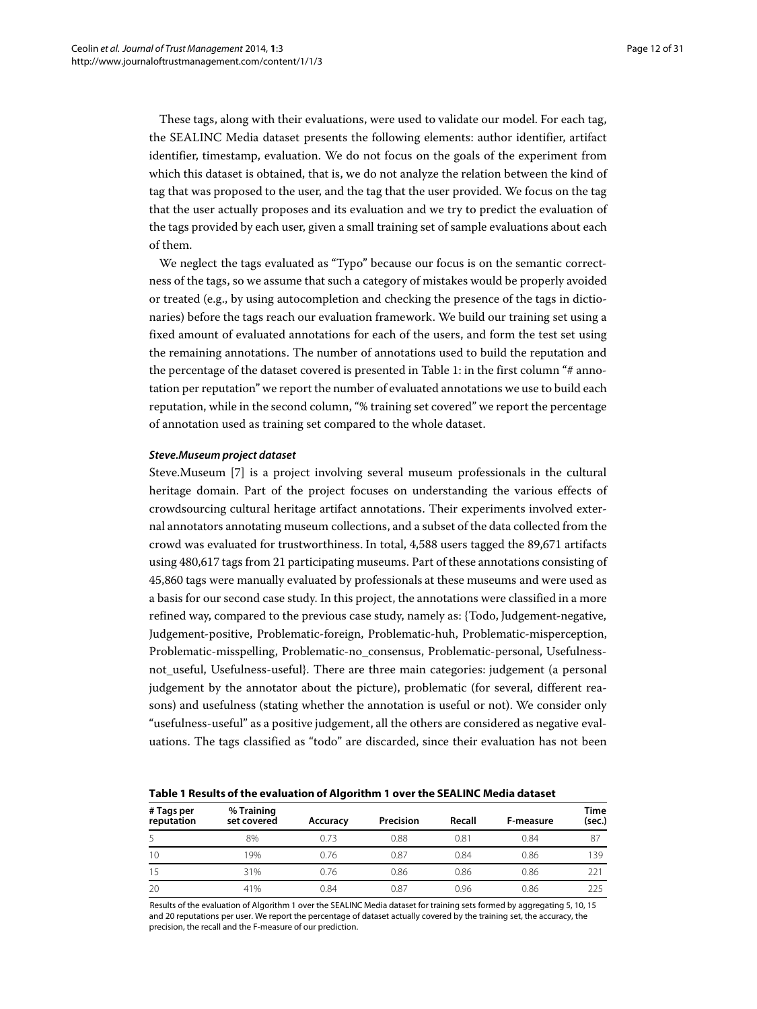These tags, along with their evaluations, were used to validate our model. For each tag, the SEALINC Media dataset presents the following elements: author identifier, artifact identifier, timestamp, evaluation. We do not focus on the goals of the experiment from which this dataset is obtained, that is, we do not analyze the relation between the kind of tag that was proposed to the user, and the tag that the user provided. We focus on the tag that the user actually proposes and its evaluation and we try to predict the evaluation of the tags provided by each user, given a small training set of sample evaluations about each of them.

We neglect the tags evaluated as "Typo" because our focus is on the semantic correctness of the tags, so we assume that such a category of mistakes would be properly avoided or treated (e.g., by using autocompletion and checking the presence of the tags in dictionaries) before the tags reach our evaluation framework. We build our training set using a fixed amount of evaluated annotations for each of the users, and form the test set using the remaining annotations. The number of annotations used to build the reputation and the percentage of the dataset covered is presented in Table [1:](#page-11-0) in the first column "# annotation per reputation" we report the number of evaluated annotations we use to build each reputation, while in the second column, "% training set covered" we report the percentage of annotation used as training set compared to the whole dataset.

#### *Steve.Museum project dataset*

Steve.Museum [\[7\]](#page-29-6) is a project involving several museum professionals in the cultural heritage domain. Part of the project focuses on understanding the various effects of crowdsourcing cultural heritage artifact annotations. Their experiments involved external annotators annotating museum collections, and a subset of the data collected from the crowd was evaluated for trustworthiness. In total, 4,588 users tagged the 89,671 artifacts using 480,617 tags from 21 participating museums. Part of these annotations consisting of 45,860 tags were manually evaluated by professionals at these museums and were used as a basis for our second case study. In this project, the annotations were classified in a more refined way, compared to the previous case study, namely as: {Todo, Judgement-negative, Judgement-positive, Problematic-foreign, Problematic-huh, Problematic-misperception, Problematic-misspelling, Problematic-no\_consensus, Problematic-personal, Usefulnessnot\_useful, Usefulness-useful}. There are three main categories: judgement (a personal judgement by the annotator about the picture), problematic (for several, different reasons) and usefulness (stating whether the annotation is useful or not). We consider only "usefulness-useful" as a positive judgement, all the others are considered as negative evaluations. The tags classified as "todo" are discarded, since their evaluation has not been

**Table 1 Results of the evaluation of Algorithm [1](#page-17-0) over the SEALINC Media dataset**

<span id="page-11-0"></span>

| # Tags per<br>reputation | % Training<br>set covered | Accuracy | Precision | Recall | F-measure | <b>Time</b><br>(sec.) |
|--------------------------|---------------------------|----------|-----------|--------|-----------|-----------------------|
| 5                        | 8%                        | 0.73     | 0.88      | 0.81   | 0.84      | 87                    |
| 10                       | 19%                       | 0.76     | 0.87      | 0.84   | 0.86      | 139                   |
| 15                       | 31%                       | 0.76     | 0.86      | 0.86   | 0.86      | 221                   |
| 20                       | 41%                       | 0.84     | 0.87      | 0.96   | 0.86      | 225                   |

Results of the evaluation of Algorithm [1](#page-17-0) over the SEALINC Media dataset for training sets formed by aggregating 5, 10, 15 and 20 reputations per user. We report the percentage of dataset actually covered by the training set, the accuracy, the precision, the recall and the F-measure of our prediction.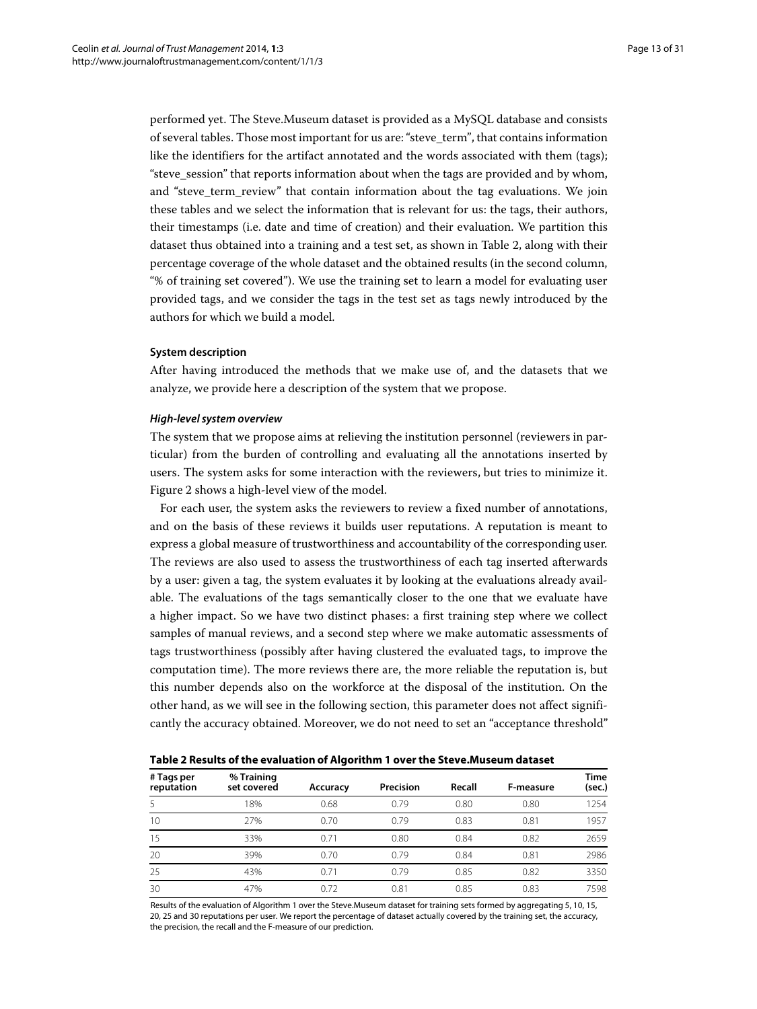performed yet. The Steve.Museum dataset is provided as a MySQL database and consists of several tables. Those most important for us are: "steve\_term", that contains information like the identifiers for the artifact annotated and the words associated with them (tags); "steve session" that reports information about when the tags are provided and by whom, and "steve\_term\_review" that contain information about the tag evaluations. We join these tables and we select the information that is relevant for us: the tags, their authors, their timestamps (i.e. date and time of creation) and their evaluation. We partition this dataset thus obtained into a training and a test set, as shown in Table [2,](#page-12-0) along with their percentage coverage of the whole dataset and the obtained results (in the second column, "% of training set covered"). We use the training set to learn a model for evaluating user provided tags, and we consider the tags in the test set as tags newly introduced by the authors for which we build a model.

### **System description**

After having introduced the methods that we make use of, and the datasets that we analyze, we provide here a description of the system that we propose.

#### *High-level system overview*

The system that we propose aims at relieving the institution personnel (reviewers in particular) from the burden of controlling and evaluating all the annotations inserted by users. The system asks for some interaction with the reviewers, but tries to minimize it. Figure [2](#page-13-0) shows a high-level view of the model.

For each user, the system asks the reviewers to review a fixed number of annotations, and on the basis of these reviews it builds user reputations. A reputation is meant to express a global measure of trustworthiness and accountability of the corresponding user. The reviews are also used to assess the trustworthiness of each tag inserted afterwards by a user: given a tag, the system evaluates it by looking at the evaluations already available. The evaluations of the tags semantically closer to the one that we evaluate have a higher impact. So we have two distinct phases: a first training step where we collect samples of manual reviews, and a second step where we make automatic assessments of tags trustworthiness (possibly after having clustered the evaluated tags, to improve the computation time). The more reviews there are, the more reliable the reputation is, but this number depends also on the workforce at the disposal of the institution. On the other hand, as we will see in the following section, this parameter does not affect significantly the accuracy obtained. Moreover, we do not need to set an "acceptance threshold"

**Table 2 Results of the evaluation of Algorithm [1](#page-17-0) over the Steve.Museum dataset**

<span id="page-12-0"></span>

| # Tags per<br>reputation | % Training<br>set covered | Accuracy | Precision | Recall | F-measure | <b>Time</b><br>(sec.) |
|--------------------------|---------------------------|----------|-----------|--------|-----------|-----------------------|
| 5                        | 18%                       | 0.68     | 0.79      | 0.80   | 0.80      | 1254                  |
| 10                       | 27%                       | 0.70     | 0.79      | 0.83   | 0.81      | 1957                  |
| 15                       | 33%                       | 0.71     | 0.80      | 0.84   | 0.82      | 2659                  |
| 20                       | 39%                       | 0.70     | 0.79      | 0.84   | 0.81      | 2986                  |
| 25                       | 43%                       | 0.71     | 0.79      | 0.85   | 0.82      | 3350                  |
| 30                       | 47%                       | 0.72     | 0.81      | 0.85   | 0.83      | 7598                  |

Results of the evaluation of Algorithm [1 o](#page-17-0)ver the Steve.Museum dataset for training sets formed by aggregating 5, 10, 15, 20, 25 and 30 reputations per user. We report the percentage of dataset actually covered by the training set, the accuracy, the precision, the recall and the F-measure of our prediction.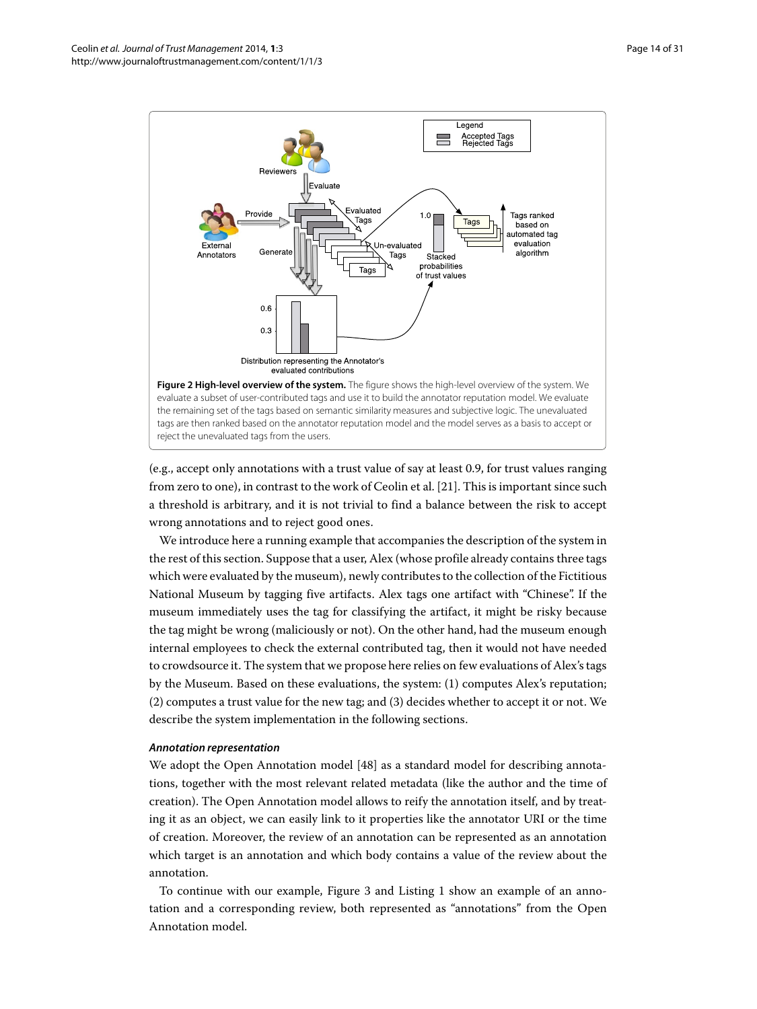

<span id="page-13-0"></span>(e.g., accept only annotations with a trust value of say at least 0.9, for trust values ranging from zero to one), in contrast to the work of Ceolin et al. [\[21\]](#page-29-20). This is important since such a threshold is arbitrary, and it is not trivial to find a balance between the risk to accept wrong annotations and to reject good ones.

We introduce here a running example that accompanies the description of the system in the rest of this section. Suppose that a user, Alex (whose profile already contains three tags which were evaluated by the museum), newly contributes to the collection of the Fictitious National Museum by tagging five artifacts. Alex tags one artifact with "Chinese". If the museum immediately uses the tag for classifying the artifact, it might be risky because the tag might be wrong (maliciously or not). On the other hand, had the museum enough internal employees to check the external contributed tag, then it would not have needed to crowdsource it. The system that we propose here relies on few evaluations of Alex's tags by the Museum. Based on these evaluations, the system: (1) computes Alex's reputation; (2) computes a trust value for the new tag; and (3) decides whether to accept it or not. We describe the system implementation in the following sections.

### *Annotation representation*

We adopt the Open Annotation model [\[48\]](#page-30-12) as a standard model for describing annotations, together with the most relevant related metadata (like the author and the time of creation). The Open Annotation model allows to reify the annotation itself, and by treating it as an object, we can easily link to it properties like the annotator URI or the time of creation. Moreover, the review of an annotation can be represented as an annotation which target is an annotation and which body contains a value of the review about the annotation.

To continue with our example, Figure [3](#page-14-0) and Listing [1](#page-14-0) show an example of an annotation and a corresponding review, both represented as "annotations" from the Open Annotation model.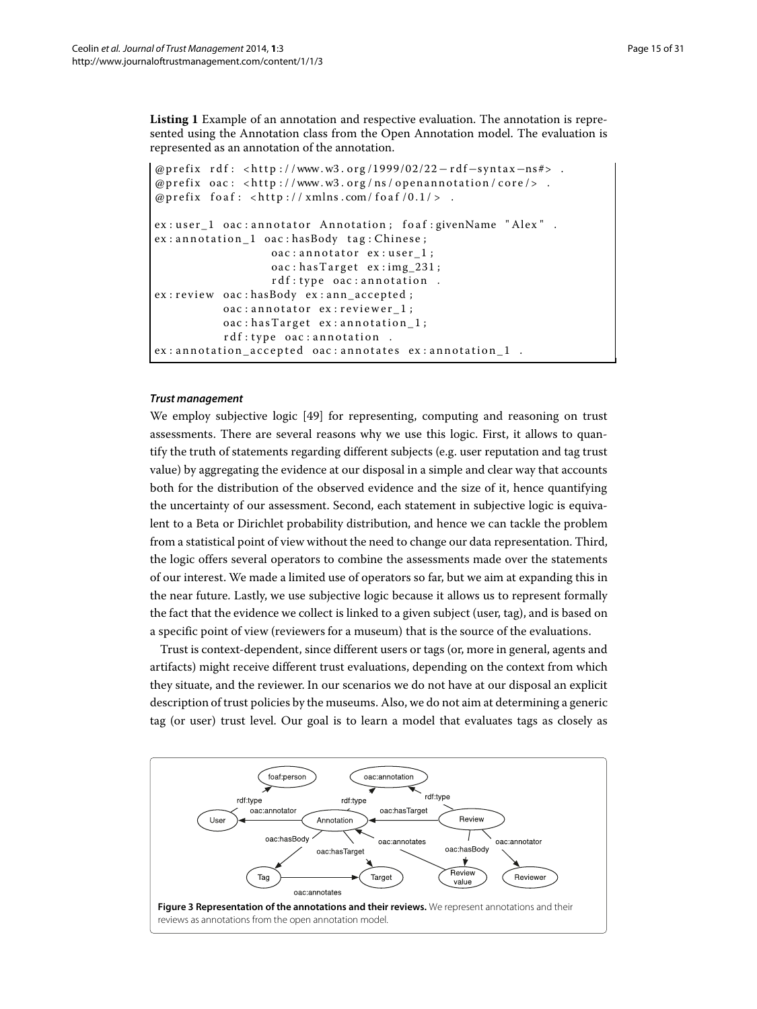**Listing 1** Example of an annotation and respective evaluation. The annotation is represented using the Annotation class from the Open Annotation model. The evaluation is represented as an annotation of the annotation.

```
@ p r e fix r d f : < h t t p : / / www. w3 . o rg /1999 /02 /22 − rdf−syntax−ns#> .
@ p r e fix oac: < http://www.w3.org/ns/openannotation/core/>.
@ p r e fix foaf: <http://xmlns.com/foaf/0.1/>.
ex: user 1 oac: annotator Annotation; foaf : givenName " Alex " .
ex : annotation_1 oac : hasBody tag : Chinese ;
                   oac: annotator ex: user 1;
                    oac : hasTarget ex : img_231 ;
                    rdf : type oac : annotation .
ex : review oac : hasBody ex : ann_accepted ;
           oac : annotator ex : reviewer_1 ;
           oac : hasTarget ex : annotation_1 ;
           rdf : type oac : annotation .
ex : annotation_accepted oac : annotates ex : annotation_1 .
```
# *Trust management*

We employ subjective logic [\[49\]](#page-30-13) for representing, computing and reasoning on trust assessments. There are several reasons why we use this logic. First, it allows to quantify the truth of statements regarding different subjects (e.g. user reputation and tag trust value) by aggregating the evidence at our disposal in a simple and clear way that accounts both for the distribution of the observed evidence and the size of it, hence quantifying the uncertainty of our assessment. Second, each statement in subjective logic is equivalent to a Beta or Dirichlet probability distribution, and hence we can tackle the problem from a statistical point of view without the need to change our data representation. Third, the logic offers several operators to combine the assessments made over the statements of our interest. We made a limited use of operators so far, but we aim at expanding this in the near future. Lastly, we use subjective logic because it allows us to represent formally the fact that the evidence we collect is linked to a given subject (user, tag), and is based on a specific point of view (reviewers for a museum) that is the source of the evaluations.

Trust is context-dependent, since different users or tags (or, more in general, agents and artifacts) might receive different trust evaluations, depending on the context from which they situate, and the reviewer. In our scenarios we do not have at our disposal an explicit description of trust policies by the museums. Also, we do not aim at determining a generic tag (or user) trust level. Our goal is to learn a model that evaluates tags as closely as

<span id="page-14-0"></span>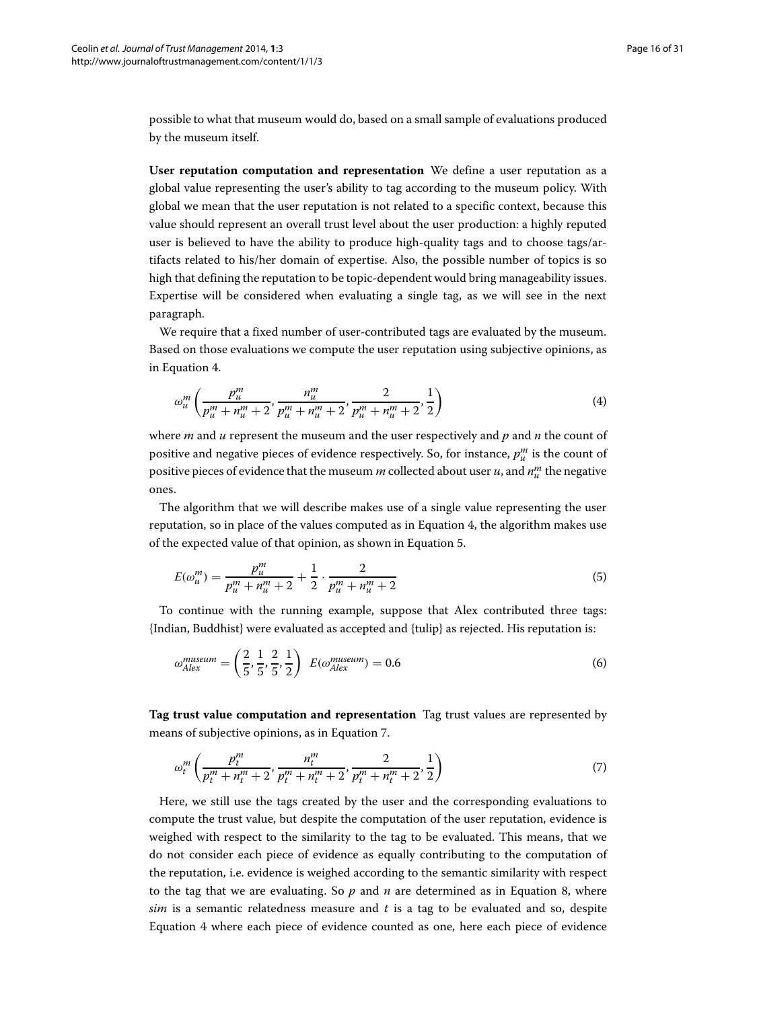possible to what that museum would do, based on a small sample of evaluations produced by the museum itself.

**User reputation computation and representation** We define a user reputation as a global value representing the user's ability to tag according to the museum policy. With global we mean that the user reputation is not related to a specific context, because this value should represent an overall trust level about the user production: a highly reputed user is believed to have the ability to produce high-quality tags and to choose tags/artifacts related to his/her domain of expertise. Also, the possible number of topics is so high that defining the reputation to be topic-dependent would bring manageability issues. Expertise will be considered when evaluating a single tag, as we will see in the next paragraph.

We require that a fixed number of user-contributed tags are evaluated by the museum. Based on those evaluations we compute the user reputation using subjective opinions, as in Equation [4.](#page-15-0)

<span id="page-15-0"></span>
$$
\omega_u^m \left( \frac{p_u^m}{p_u^m + n_u^m + 2}, \frac{n_u^m}{p_u^m + n_u^m + 2}, \frac{2}{p_u^m + n_u^m + 2}, \frac{1}{2} \right) \tag{4}
$$

where *m* and *u* represent the museum and the user respectively and *p* and *n* the count of positive and negative pieces of evidence respectively. So, for instance,  $p_u^m$  is the count of positive pieces of evidence that the museum  $m$  collected about user  $u$ , and  $n_u^m$  the negative ones.

The algorithm that we will describe makes use of a single value representing the user reputation, so in place of the values computed as in Equation [4,](#page-15-0) the algorithm makes use of the expected value of that opinion, as shown in Equation [5.](#page-15-1)

<span id="page-15-1"></span>
$$
E(\omega_u^m) = \frac{p_u^m}{p_u^m + n_u^m + 2} + \frac{1}{2} \cdot \frac{2}{p_u^m + n_u^m + 2}
$$
\n<sup>(5)</sup>

To continue with the running example, suppose that Alex contributed three tags: {Indian, Buddhist} were evaluated as accepted and {tulip} as rejected. His reputation is:

$$
\omega_{Alex}^{museum} = \left(\frac{2}{5}, \frac{1}{5}, \frac{2}{5}, \frac{1}{2}\right) \ E(\omega_{Alex}^{museum}) = 0.6 \tag{6}
$$

**Tag trust value computation and representation** Tag trust values are represented by means of subjective opinions, as in Equation [7.](#page-15-2)

<span id="page-15-2"></span>
$$
\omega_t^m \left( \frac{p_t^m}{p_t^m + n_t^m + 2}, \frac{n_t^m}{p_t^m + n_t^m + 2}, \frac{2}{p_t^m + n_t^m + 2}, \frac{1}{2} \right) \tag{7}
$$

Here, we still use the tags created by the user and the corresponding evaluations to compute the trust value, but despite the computation of the user reputation, evidence is weighed with respect to the similarity to the tag to be evaluated. This means, that we do not consider each piece of evidence as equally contributing to the computation of the reputation, i.e. evidence is weighed according to the semantic similarity with respect to the tag that we are evaluating. So *p* and *n* are determined as in Equation [8,](#page-16-0) where *sim* is a semantic relatedness measure and *t* is a tag to be evaluated and so, despite Equation [4](#page-15-0) where each piece of evidence counted as one, here each piece of evidence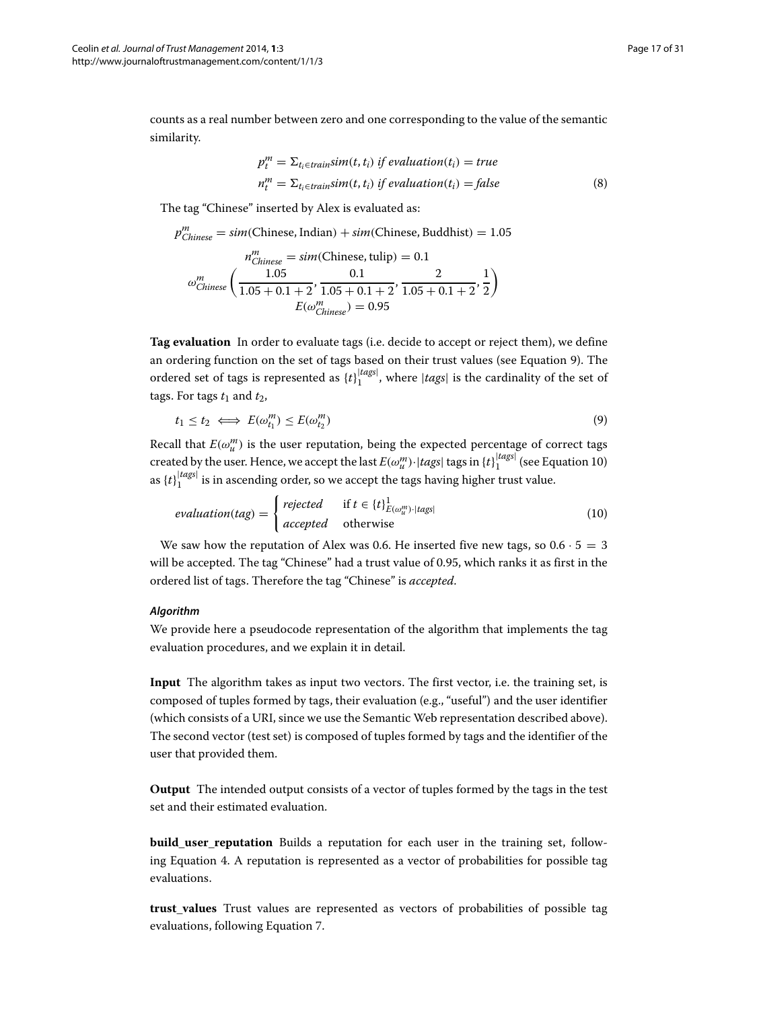counts as a real number between zero and one corresponding to the value of the semantic similarity.

<span id="page-16-0"></span>
$$
p_t^m = \sum_{t_i \in train} sim(t, t_i) \text{ if evaluation}(t_i) = true
$$
  

$$
n_t^m = \sum_{t_i \in train} sim(t, t_i) \text{ if evaluation}(t_i) = false
$$
 (8)

The tag "Chinese" inserted by Alex is evaluated as:

$$
p_{Chinese}^{m} = sim(Chinese, Indian) + sim(Chinese, Buddha) = 1.05
$$

$$
n_{Chinese}^{m} = sim(Chinese, tuple) = 0.1
$$

$$
\omega_{Chinese}^{m} \left( \frac{1.05}{1.05 + 0.1 + 2}, \frac{0.1}{1.05 + 0.1 + 2}, \frac{2}{1.05 + 0.1 + 2}, \frac{1}{2} \right)
$$

$$
E(\omega_{Chinese}^{m}) = 0.95
$$

**Tag evaluation** In order to evaluate tags (i.e. decide to accept or reject them), we define an ordering function on the set of tags based on their trust values (see Equation [9\)](#page-16-1). The ordered set of tags is represented as  $\{t\}_{1}^{ |tags|}$ , where  $|tags|$  is the cardinality of the set of tags. For tags  $t_1$  and  $t_2$ ,

<span id="page-16-1"></span>
$$
t_1 \le t_2 \iff E(\omega_{t_1}^m) \le E(\omega_{t_2}^m) \tag{9}
$$

Recall that  $E(\omega_{\mu}^{m})$  is the user reputation, being the expected percentage of correct tags created by the user. Hence, we accept the last  $E(\omega_{u}^{m})$  ·  $|tags|$  tags in  $\{t\}_{1}^{|tags|}$  (see Equation [10\)](#page-16-2) as  $\{{t}\}_1^{ |tags|}$  is in ascending order, so we accept the tags having higher trust value.

<span id="page-16-2"></span>
$$
evaluation(tag) = \begin{cases} rejected & \text{if } t \in \{t\}_{E(\omega_u^m) \cdot |tags|}^{1} \\ accepted & \text{otherwise} \end{cases}
$$
\n
$$
(10)
$$

We saw how the reputation of Alex was 0.6. He inserted five new tags, so  $0.6 \cdot 5 = 3$ will be accepted. The tag "Chinese" had a trust value of 0.95, which ranks it as first in the ordered list of tags. Therefore the tag "Chinese" is *accepted*.

#### *Algorithm*

We provide here a pseudocode representation of the algorithm that implements the tag evaluation procedures, and we explain it in detail.

**Input** The algorithm takes as input two vectors. The first vector, i.e. the training set, is composed of tuples formed by tags, their evaluation (e.g., "useful") and the user identifier (which consists of a URI, since we use the Semantic Web representation described above). The second vector (test set) is composed of tuples formed by tags and the identifier of the user that provided them.

**Output** The intended output consists of a vector of tuples formed by the tags in the test set and their estimated evaluation.

**build user reputation** Builds a reputation for each user in the training set, following Equation [4.](#page-15-0) A reputation is represented as a vector of probabilities for possible tag evaluations.

**trust\_values** Trust values are represented as vectors of probabilities of possible tag evaluations, following Equation [7.](#page-15-2)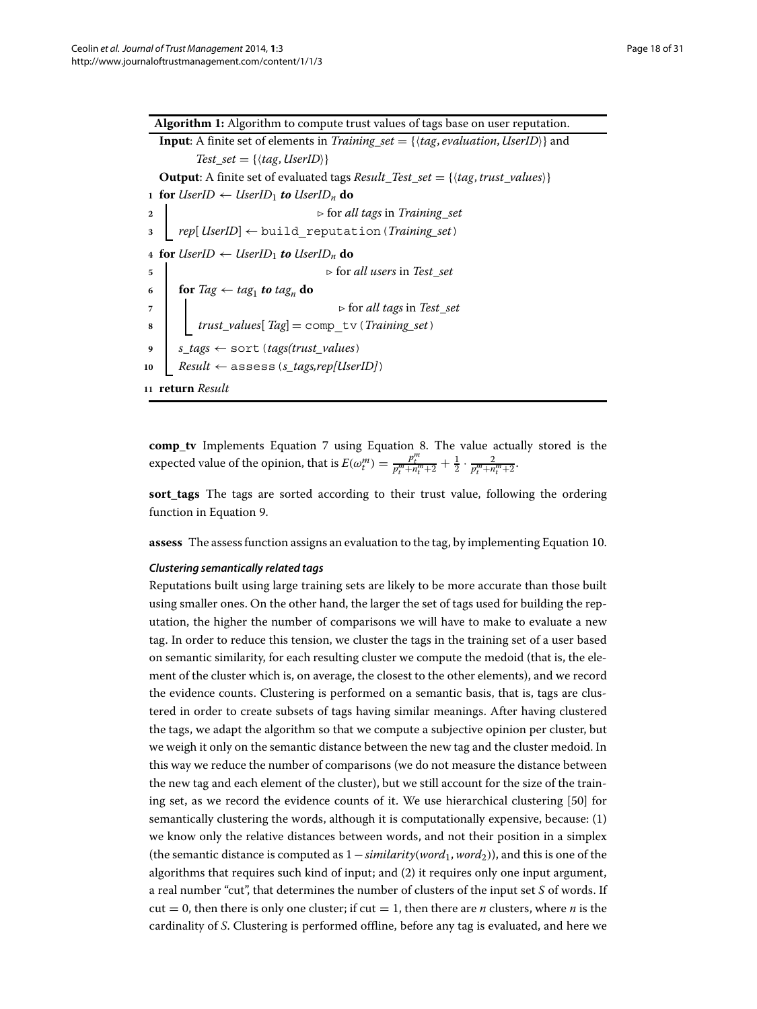**Algorithm 1:** Algorithm to compute trust values of tags base on user reputation. **Input**: A finite set of elements in *Training*  $set = \{\langle tag, evaluation, UserID \rangle\}$  and *Test set* = {*\tag*, *UserID*}} **Output**: A finite set of evaluated tags *Result\_Test\_set* = {*\tag, trust\_values*}} **1 for** *UserID* ← *UserID*<sub>1</sub> *to UserID<sub>n</sub>* **do 2 b b b**  for *all tags* in *Training*\_*set* **<sup>3</sup>** *rep*[ *UserID*]← build\_reputation(*Training\_set*) **4 for** *UserID* ← *UserID*<sub>1</sub> *to UserID<sub>n</sub>* **do <sup>5</sup>** for *all users* in *Test*\_*set* **6 for** *Tag*  $\leftarrow$  *tag*<sub>1</sub> *to tag*<sub>n</sub> **do <sup>7</sup>** for *all tags* in *Test*\_*set* **<sup>8</sup>** *trust*\_*values*[ *Tag*] = comp\_tv(*Training\_set*) **<sup>9</sup>** *s*\_*tags* ← sort(*tags(trust\_values*)  $10$  *Result* ← assess(*s* tags,rep[UserID]) **<sup>11</sup> return** *Result*

<span id="page-17-0"></span>**comp\_tv** Implements Equation [7](#page-15-2) using Equation [8.](#page-16-0) The value actually stored is the expected value of the opinion, that is  $E(\omega_t^m) = \frac{p_t^m}{p_t^m + n_t^m + 2} + \frac{1}{2} \cdot \frac{2}{p_t^m + n_t^m + 2}$ .

**sort\_tags** The tags are sorted according to their trust value, following the ordering function in Equation [9.](#page-16-1)

**assess** The assess function assigns an evaluation to the tag, by implementing Equation [10.](#page-16-2)

#### *Clustering semantically related tags*

Reputations built using large training sets are likely to be more accurate than those built using smaller ones. On the other hand, the larger the set of tags used for building the reputation, the higher the number of comparisons we will have to make to evaluate a new tag. In order to reduce this tension, we cluster the tags in the training set of a user based on semantic similarity, for each resulting cluster we compute the medoid (that is, the element of the cluster which is, on average, the closest to the other elements), and we record the evidence counts. Clustering is performed on a semantic basis, that is, tags are clustered in order to create subsets of tags having similar meanings. After having clustered the tags, we adapt the algorithm so that we compute a subjective opinion per cluster, but we weigh it only on the semantic distance between the new tag and the cluster medoid. In this way we reduce the number of comparisons (we do not measure the distance between the new tag and each element of the cluster), but we still account for the size of the training set, as we record the evidence counts of it. We use hierarchical clustering [\[50\]](#page-30-14) for semantically clustering the words, although it is computationally expensive, because: (1) we know only the relative distances between words, and not their position in a simplex (the semantic distance is computed as 1−*similarity*(*word*1, *word*2)), and this is one of the algorithms that requires such kind of input; and (2) it requires only one input argument, a real number "cut", that determines the number of clusters of the input set *S* of words. If cut = 0, then there is only one cluster; if cut = 1, then there are  $n$  clusters, where  $n$  is the cardinality of *S*. Clustering is performed offline, before any tag is evaluated, and here we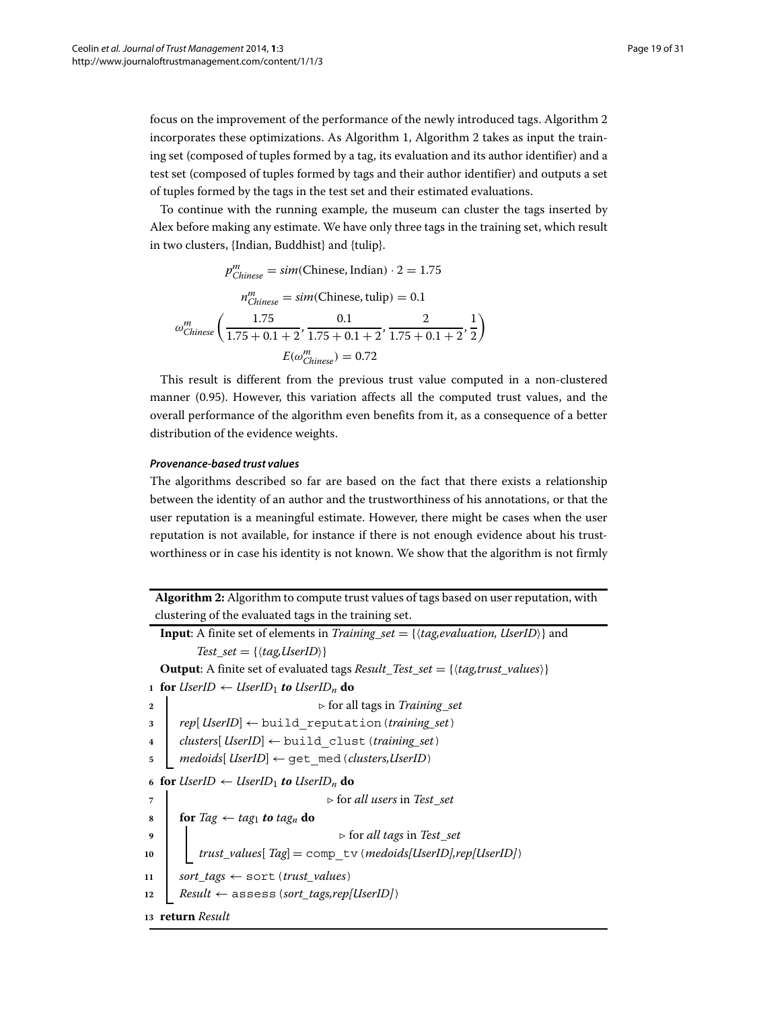focus on the improvement of the performance of the newly introduced tags. Algorithm [2](#page-18-0) incorporates these optimizations. As Algorithm [1,](#page-17-0) Algorithm [2](#page-18-0) takes as input the training set (composed of tuples formed by a tag, its evaluation and its author identifier) and a test set (composed of tuples formed by tags and their author identifier) and outputs a set of tuples formed by the tags in the test set and their estimated evaluations.

To continue with the running example, the museum can cluster the tags inserted by Alex before making any estimate. We have only three tags in the training set, which result in two clusters, {Indian, Buddhist} and {tulip}.

$$
p_{Chinese}^{m} = sim(Chinese, Indian) \cdot 2 = 1.75
$$

$$
n_{Chinese}^{m} = sim(Chinese, tulip) = 0.1
$$

$$
\omega_{Chinese}^{m} \left( \frac{1.75}{1.75 + 0.1 + 2}, \frac{0.1}{1.75 + 0.1 + 2}, \frac{2}{1.75 + 0.1 + 2}, \frac{1}{2} \right)
$$

$$
E(\omega_{Chinese}^{m}) = 0.72
$$

This result is different from the previous trust value computed in a non-clustered manner (0.95). However, this variation affects all the computed trust values, and the overall performance of the algorithm even benefits from it, as a consequence of a better distribution of the evidence weights.

# *Provenance-based trust values*

The algorithms described so far are based on the fact that there exists a relationship between the identity of an author and the trustworthiness of his annotations, or that the user reputation is a meaningful estimate. However, there might be cases when the user reputation is not available, for instance if there is not enough evidence about his trustworthiness or in case his identity is not known. We show that the algorithm is not firmly

**Algorithm 2:** Algorithm to compute trust values of tags based on user reputation, with clustering of the evaluated tags in the training set.

```
Input: A finite set of elements in Training_set = \{\langle tag, evaluation, UserID \rangle\} and
          Test\_set = {\langle tag, UserID \rangle}Output: A finite set of evaluated tags Result_Test_set = {tag,trust_values}
1 for UserID ← UserID<sub>1</sub> to UserID<sub>n</sub> do
 2 b b b
                                 for all tags in Training_set
3 rep[UserID] \leftarrow build reputation(training_set)
4 clusters[ UserID]← build_clust(training_set)
5 medoids[ UserID]← get_med(clusters,UserID)
6 for UserID ← UserID<sub>1</sub> to UserID<sub>n</sub> do
 7 b b b
                                   for all users in Test_set
8 for Tag \leftarrow tag<sub>1</sub> to tag<sub>n</sub> do
 9 
                                     for all tags in Test_set
10 trust_values[ Tag] = comp_tv(medoids[UserID],rep[UserID])
11 sort\_tags \leftarrow sort(\text{trust\_values})12 Result ← assess (sort tags,rep[UserID])
13 return Result
```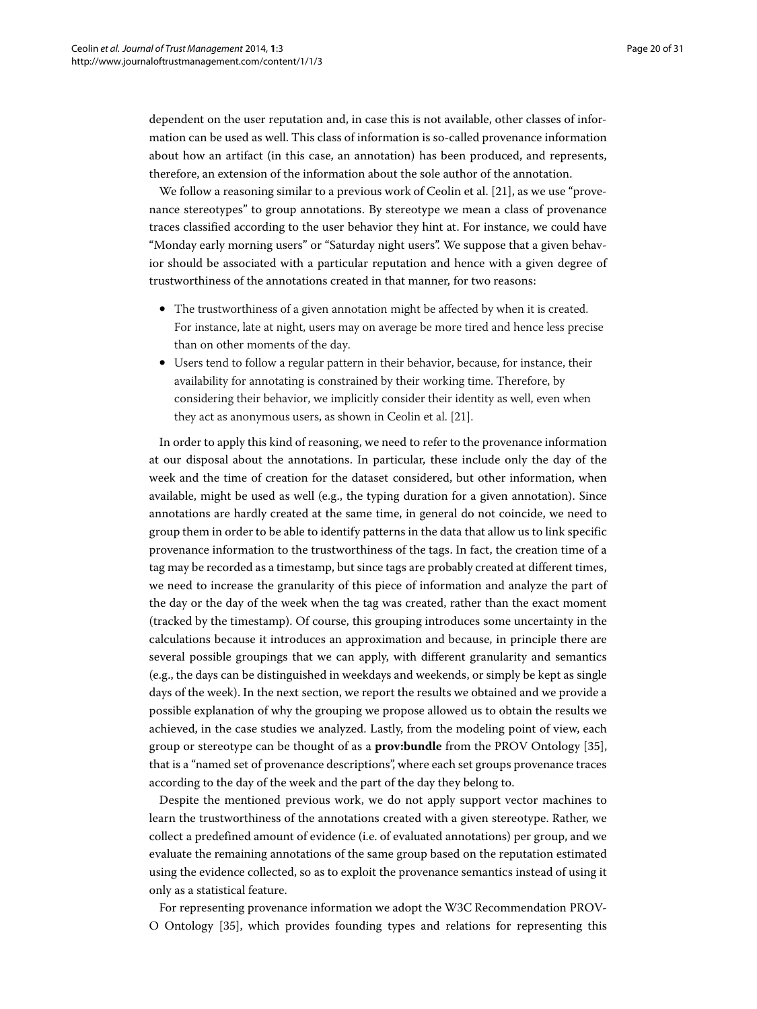dependent on the user reputation and, in case this is not available, other classes of information can be used as well. This class of information is so-called provenance information about how an artifact (in this case, an annotation) has been produced, and represents, therefore, an extension of the information about the sole author of the annotation.

We follow a reasoning similar to a previous work of Ceolin et al. [\[21\]](#page-29-20), as we use "provenance stereotypes" to group annotations. By stereotype we mean a class of provenance traces classified according to the user behavior they hint at. For instance, we could have "Monday early morning users" or "Saturday night users". We suppose that a given behavior should be associated with a particular reputation and hence with a given degree of trustworthiness of the annotations created in that manner, for two reasons:

- The trustworthiness of a given annotation might be affected by when it is created. For instance, late at night, users may on average be more tired and hence less precise than on other moments of the day.
- Users tend to follow a regular pattern in their behavior, because, for instance, their availability for annotating is constrained by their working time. Therefore, by considering their behavior, we implicitly consider their identity as well, even when they act as anonymous users, as shown in Ceolin et al. [\[21\]](#page-29-20).

In order to apply this kind of reasoning, we need to refer to the provenance information at our disposal about the annotations. In particular, these include only the day of the week and the time of creation for the dataset considered, but other information, when available, might be used as well (e.g., the typing duration for a given annotation). Since annotations are hardly created at the same time, in general do not coincide, we need to group them in order to be able to identify patterns in the data that allow us to link specific provenance information to the trustworthiness of the tags. In fact, the creation time of a tag may be recorded as a timestamp, but since tags are probably created at different times, we need to increase the granularity of this piece of information and analyze the part of the day or the day of the week when the tag was created, rather than the exact moment (tracked by the timestamp). Of course, this grouping introduces some uncertainty in the calculations because it introduces an approximation and because, in principle there are several possible groupings that we can apply, with different granularity and semantics (e.g., the days can be distinguished in weekdays and weekends, or simply be kept as single days of the week). In the next section, we report the results we obtained and we provide a possible explanation of why the grouping we propose allowed us to obtain the results we achieved, in the case studies we analyzed. Lastly, from the modeling point of view, each group or stereotype can be thought of as a **prov:bundle** from the PROV Ontology [\[35\]](#page-29-34), that is a "named set of provenance descriptions", where each set groups provenance traces according to the day of the week and the part of the day they belong to.

Despite the mentioned previous work, we do not apply support vector machines to learn the trustworthiness of the annotations created with a given stereotype. Rather, we collect a predefined amount of evidence (i.e. of evaluated annotations) per group, and we evaluate the remaining annotations of the same group based on the reputation estimated using the evidence collected, so as to exploit the provenance semantics instead of using it only as a statistical feature.

For representing provenance information we adopt the W3C Recommendation PROV-O Ontology [\[35\]](#page-29-34), which provides founding types and relations for representing this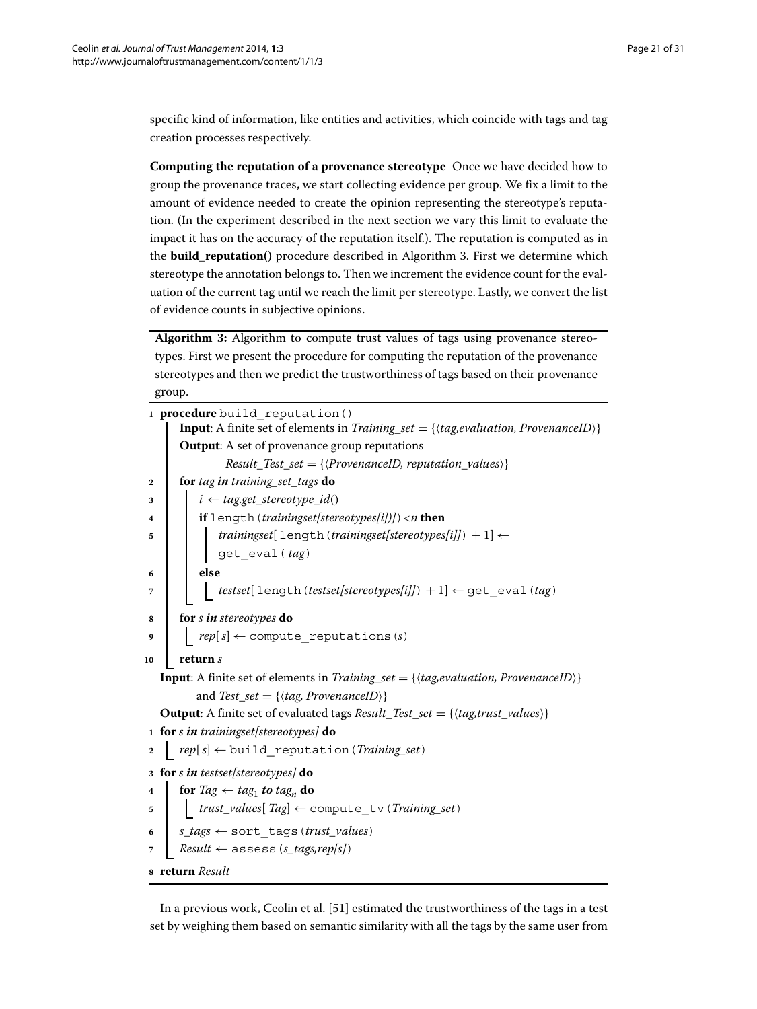specific kind of information, like entities and activities, which coincide with tags and tag creation processes respectively.

**Computing the reputation of a provenance stereotype** Once we have decided how to group the provenance traces, we start collecting evidence per group. We fix a limit to the amount of evidence needed to create the opinion representing the stereotype's reputation. (In the experiment described in the next section we vary this limit to evaluate the impact it has on the accuracy of the reputation itself.). The reputation is computed as in the **build\_reputation()** procedure described in Algorithm [3.](#page-20-0) First we determine which stereotype the annotation belongs to. Then we increment the evidence count for the evaluation of the current tag until we reach the limit per stereotype. Lastly, we convert the list of evidence counts in subjective opinions.

**Algorithm 3:** Algorithm to compute trust values of tags using provenance stereotypes. First we present the procedure for computing the reputation of the provenance stereotypes and then we predict the trustworthiness of tags based on their provenance group.

| 1 procedure build reputation()                                                                                                      |
|-------------------------------------------------------------------------------------------------------------------------------------|
| <b>Input:</b> A finite set of elements in <i>Training set</i> = $\{\langle tag, evaluation, ProvenanceID \rangle\}$                 |
| <b>Output:</b> A set of provenance group reputations                                                                                |
| $Result\_Test\_set = \{\langle ProvenancellD, reputation\_values\rangle\}$                                                          |
| for tag in training_set_tags do<br>$\mathbf{2}$                                                                                     |
| $i \leftarrow tag.get\_stereotype_id()$<br>3                                                                                        |
| if length ( <i>trainingset</i> [stereotypes[i])]) <n then<br="">4</n>                                                               |
| trainingset[length(trainingset[stereotypes[i]]) +1] $\leftarrow$<br>5                                                               |
| get eval (tag)                                                                                                                      |
| else<br>6                                                                                                                           |
| $\textit{testset}[\textit{length}(\textit{testset}[\textit{stereotypes}[i]]) + 1] \leftarrow \texttt{get\_eval}(\textit{tag})$<br>7 |
| for <i>s</i> in stereotypes do<br>8                                                                                                 |
| $rep[s] \leftarrow compute\_reputations(s)$<br>9                                                                                    |
| return $s$<br>10                                                                                                                    |
| <b>Input:</b> A finite set of elements in <i>Training_set</i> = $\{\langle tag, evaluation, ProvenanceID \rangle\}$                 |
| and Test_set = { $\langle tag, ProvenanceID \rangle$ }                                                                              |
| <b>Output:</b> A finite set of evaluated tags <i>Result_Test_set</i> = { $\langle tag, trust\_values \rangle$ }                     |
| 1 for s in trainingset/stereotypes/ do                                                                                              |
| $rep[s] \leftarrow \text{build\_reputation}(Training_set)$<br>$\mathbf{2}$                                                          |
| 3 for s in testset[stereotypes] do                                                                                                  |
| for $Tag \leftarrow tag_1$ to $tag_n$ do<br>4                                                                                       |
| $true\_values[Tag] \leftarrow compute\_tv(Training_set)$<br>5.                                                                      |
| $s\_tags \leftarrow sort \text{ tags}(trust\_values)$<br>6                                                                          |
| $Result \leftarrow \text{asses}(s\_tags, rep[s])$<br>7                                                                              |
| s return Result                                                                                                                     |

<span id="page-20-0"></span>In a previous work, Ceolin et al. [\[51\]](#page-30-15) estimated the trustworthiness of the tags in a test set by weighing them based on semantic similarity with all the tags by the same user from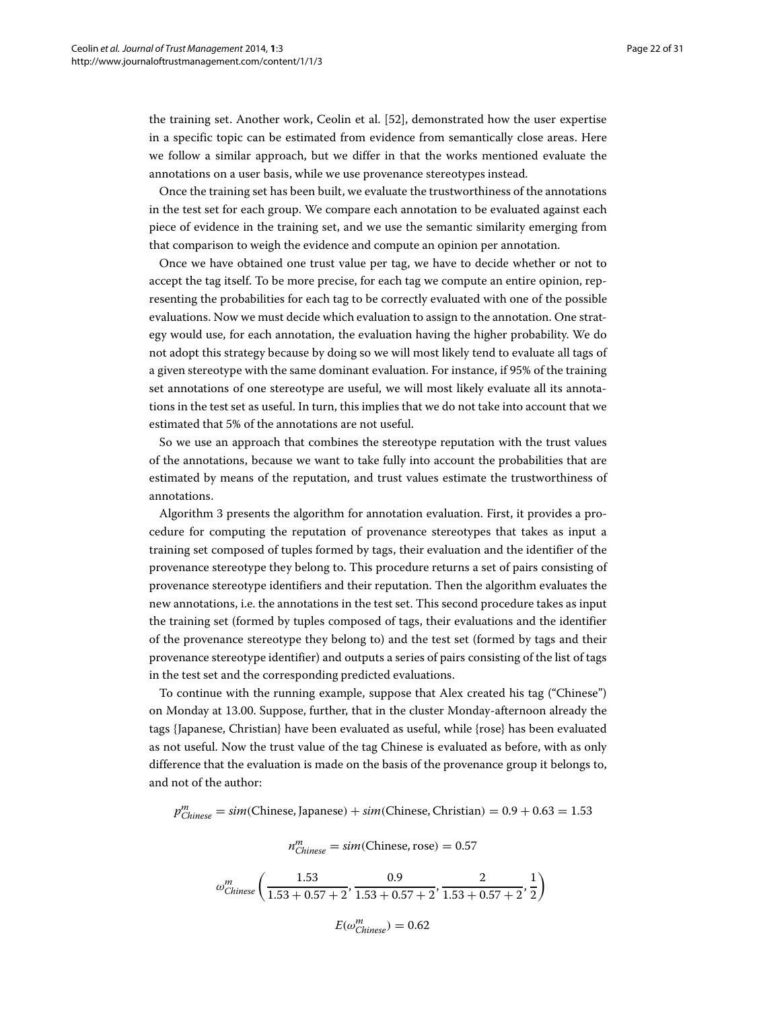the training set. Another work, Ceolin et al. [\[52\]](#page-30-16), demonstrated how the user expertise in a specific topic can be estimated from evidence from semantically close areas. Here we follow a similar approach, but we differ in that the works mentioned evaluate the annotations on a user basis, while we use provenance stereotypes instead.

Once the training set has been built, we evaluate the trustworthiness of the annotations in the test set for each group. We compare each annotation to be evaluated against each piece of evidence in the training set, and we use the semantic similarity emerging from that comparison to weigh the evidence and compute an opinion per annotation.

Once we have obtained one trust value per tag, we have to decide whether or not to accept the tag itself. To be more precise, for each tag we compute an entire opinion, representing the probabilities for each tag to be correctly evaluated with one of the possible evaluations. Now we must decide which evaluation to assign to the annotation. One strategy would use, for each annotation, the evaluation having the higher probability. We do not adopt this strategy because by doing so we will most likely tend to evaluate all tags of a given stereotype with the same dominant evaluation. For instance, if 95% of the training set annotations of one stereotype are useful, we will most likely evaluate all its annotations in the test set as useful. In turn, this implies that we do not take into account that we estimated that 5% of the annotations are not useful.

So we use an approach that combines the stereotype reputation with the trust values of the annotations, because we want to take fully into account the probabilities that are estimated by means of the reputation, and trust values estimate the trustworthiness of annotations.

Algorithm [3](#page-20-0) presents the algorithm for annotation evaluation. First, it provides a procedure for computing the reputation of provenance stereotypes that takes as input a training set composed of tuples formed by tags, their evaluation and the identifier of the provenance stereotype they belong to. This procedure returns a set of pairs consisting of provenance stereotype identifiers and their reputation. Then the algorithm evaluates the new annotations, i.e. the annotations in the test set. This second procedure takes as input the training set (formed by tuples composed of tags, their evaluations and the identifier of the provenance stereotype they belong to) and the test set (formed by tags and their provenance stereotype identifier) and outputs a series of pairs consisting of the list of tags in the test set and the corresponding predicted evaluations.

To continue with the running example, suppose that Alex created his tag ("Chinese") on Monday at 13.00. Suppose, further, that in the cluster Monday-afternoon already the tags {Japanese, Christian} have been evaluated as useful, while {rose} has been evaluated as not useful. Now the trust value of the tag Chinese is evaluated as before, with as only difference that the evaluation is made on the basis of the provenance group it belongs to, and not of the author:

$$
p_{Chinese}^{m} = \text{sim(Chinese, Japanese)} + \text{sim(Chinese, Christian)} = 0.9 + 0.63 = 1.53
$$

$$
n_{Chinese}^{m} = sim(Chinese, rose) = 0.57
$$

$$
\omega_{Chinese}^{m} \left( \frac{1.53}{1.53 + 0.57 + 2}, \frac{0.9}{1.53 + 0.57 + 2}, \frac{2}{1.53 + 0.57 + 2}, \frac{1}{2} \right)
$$

$$
E(\omega_{Chinese}^{m}) = 0.62
$$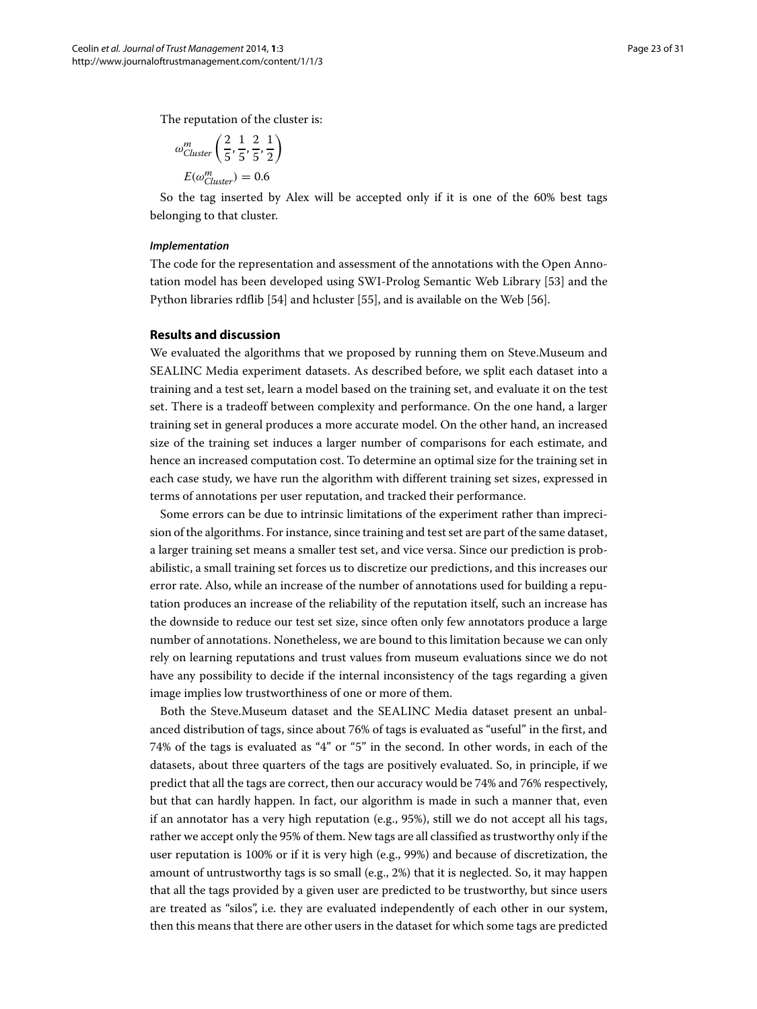The reputation of the cluster is:

$$
\omega_{Cluster}^m \left( \frac{2}{5}, \frac{1}{5}, \frac{2}{5}, \frac{1}{2} \right)
$$

$$
E(\omega_{Cluster}^m) = 0.6
$$

So the tag inserted by Alex will be accepted only if it is one of the 60% best tags belonging to that cluster.

#### *Implementation*

The code for the representation and assessment of the annotations with the Open Annotation model has been developed using SWI-Prolog Semantic Web Library [\[53\]](#page-30-17) and the Python libraries rdflib [\[54\]](#page-30-18) and hcluster [\[55\]](#page-30-19), and is available on the Web [\[56\]](#page-30-20).

# <span id="page-22-0"></span>**Results and discussion**

We evaluated the algorithms that we proposed by running them on Steve.Museum and SEALINC Media experiment datasets. As described before, we split each dataset into a training and a test set, learn a model based on the training set, and evaluate it on the test set. There is a tradeoff between complexity and performance. On the one hand, a larger training set in general produces a more accurate model. On the other hand, an increased size of the training set induces a larger number of comparisons for each estimate, and hence an increased computation cost. To determine an optimal size for the training set in each case study, we have run the algorithm with different training set sizes, expressed in terms of annotations per user reputation, and tracked their performance.

Some errors can be due to intrinsic limitations of the experiment rather than imprecision of the algorithms. For instance, since training and test set are part of the same dataset, a larger training set means a smaller test set, and vice versa. Since our prediction is probabilistic, a small training set forces us to discretize our predictions, and this increases our error rate. Also, while an increase of the number of annotations used for building a reputation produces an increase of the reliability of the reputation itself, such an increase has the downside to reduce our test set size, since often only few annotators produce a large number of annotations. Nonetheless, we are bound to this limitation because we can only rely on learning reputations and trust values from museum evaluations since we do not have any possibility to decide if the internal inconsistency of the tags regarding a given image implies low trustworthiness of one or more of them.

Both the Steve.Museum dataset and the SEALINC Media dataset present an unbalanced distribution of tags, since about 76% of tags is evaluated as "useful" in the first, and 74% of the tags is evaluated as "4" or "5" in the second. In other words, in each of the datasets, about three quarters of the tags are positively evaluated. So, in principle, if we predict that all the tags are correct, then our accuracy would be 74% and 76% respectively, but that can hardly happen. In fact, our algorithm is made in such a manner that, even if an annotator has a very high reputation (e.g., 95%), still we do not accept all his tags, rather we accept only the 95% of them. New tags are all classified as trustworthy only if the user reputation is 100% or if it is very high (e.g., 99%) and because of discretization, the amount of untrustworthy tags is so small (e.g., 2%) that it is neglected. So, it may happen that all the tags provided by a given user are predicted to be trustworthy, but since users are treated as "silos", i.e. they are evaluated independently of each other in our system, then this means that there are other users in the dataset for which some tags are predicted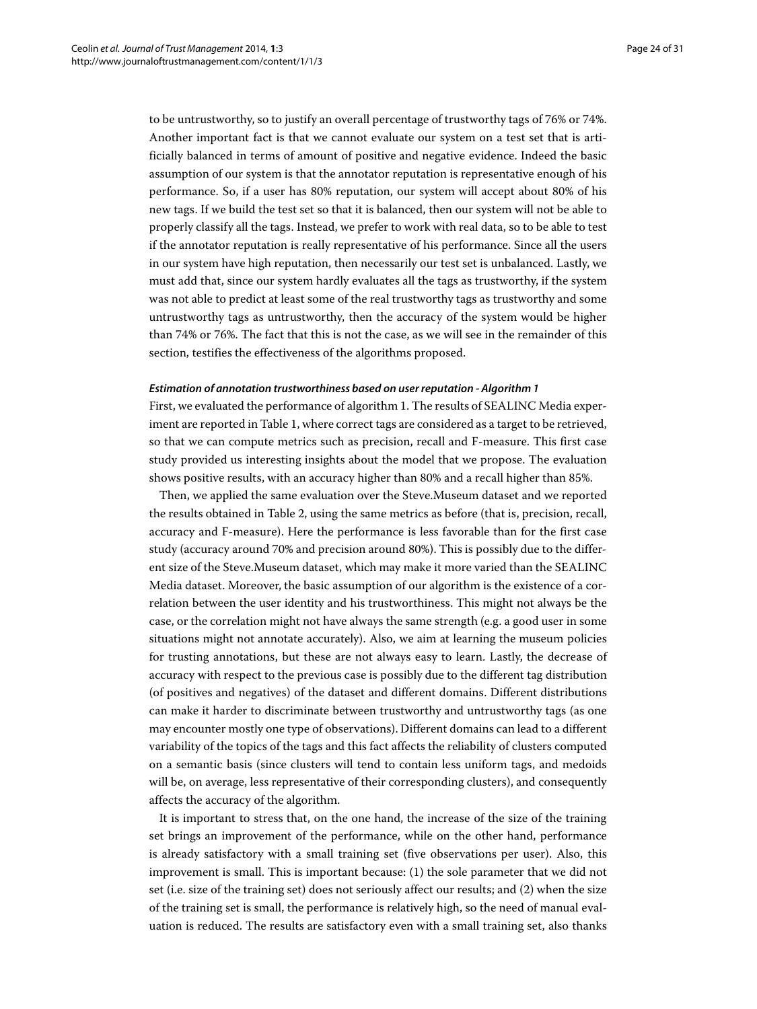to be untrustworthy, so to justify an overall percentage of trustworthy tags of 76% or 74%. Another important fact is that we cannot evaluate our system on a test set that is artificially balanced in terms of amount of positive and negative evidence. Indeed the basic assumption of our system is that the annotator reputation is representative enough of his performance. So, if a user has 80% reputation, our system will accept about 80% of his new tags. If we build the test set so that it is balanced, then our system will not be able to properly classify all the tags. Instead, we prefer to work with real data, so to be able to test if the annotator reputation is really representative of his performance. Since all the users in our system have high reputation, then necessarily our test set is unbalanced. Lastly, we must add that, since our system hardly evaluates all the tags as trustworthy, if the system was not able to predict at least some of the real trustworthy tags as trustworthy and some untrustworthy tags as untrustworthy, then the accuracy of the system would be higher than 74% or 76%. The fact that this is not the case, as we will see in the remainder of this section, testifies the effectiveness of the algorithms proposed.

## *Estimation of annotation trustworthiness based on user reputation - Algorithm [1](#page-17-0)*

First, we evaluated the performance of algorithm [1.](#page-17-0) The results of SEALINC Media experiment are reported in Table [1,](#page-11-0) where correct tags are considered as a target to be retrieved, so that we can compute metrics such as precision, recall and F-measure. This first case study provided us interesting insights about the model that we propose. The evaluation shows positive results, with an accuracy higher than 80% and a recall higher than 85%.

Then, we applied the same evaluation over the Steve.Museum dataset and we reported the results obtained in Table [2,](#page-12-0) using the same metrics as before (that is, precision, recall, accuracy and F-measure). Here the performance is less favorable than for the first case study (accuracy around 70% and precision around 80%). This is possibly due to the different size of the Steve.Museum dataset, which may make it more varied than the SEALINC Media dataset. Moreover, the basic assumption of our algorithm is the existence of a correlation between the user identity and his trustworthiness. This might not always be the case, or the correlation might not have always the same strength (e.g. a good user in some situations might not annotate accurately). Also, we aim at learning the museum policies for trusting annotations, but these are not always easy to learn. Lastly, the decrease of accuracy with respect to the previous case is possibly due to the different tag distribution (of positives and negatives) of the dataset and different domains. Different distributions can make it harder to discriminate between trustworthy and untrustworthy tags (as one may encounter mostly one type of observations). Different domains can lead to a different variability of the topics of the tags and this fact affects the reliability of clusters computed on a semantic basis (since clusters will tend to contain less uniform tags, and medoids will be, on average, less representative of their corresponding clusters), and consequently affects the accuracy of the algorithm.

It is important to stress that, on the one hand, the increase of the size of the training set brings an improvement of the performance, while on the other hand, performance is already satisfactory with a small training set (five observations per user). Also, this improvement is small. This is important because: (1) the sole parameter that we did not set (i.e. size of the training set) does not seriously affect our results; and (2) when the size of the training set is small, the performance is relatively high, so the need of manual evaluation is reduced. The results are satisfactory even with a small training set, also thanks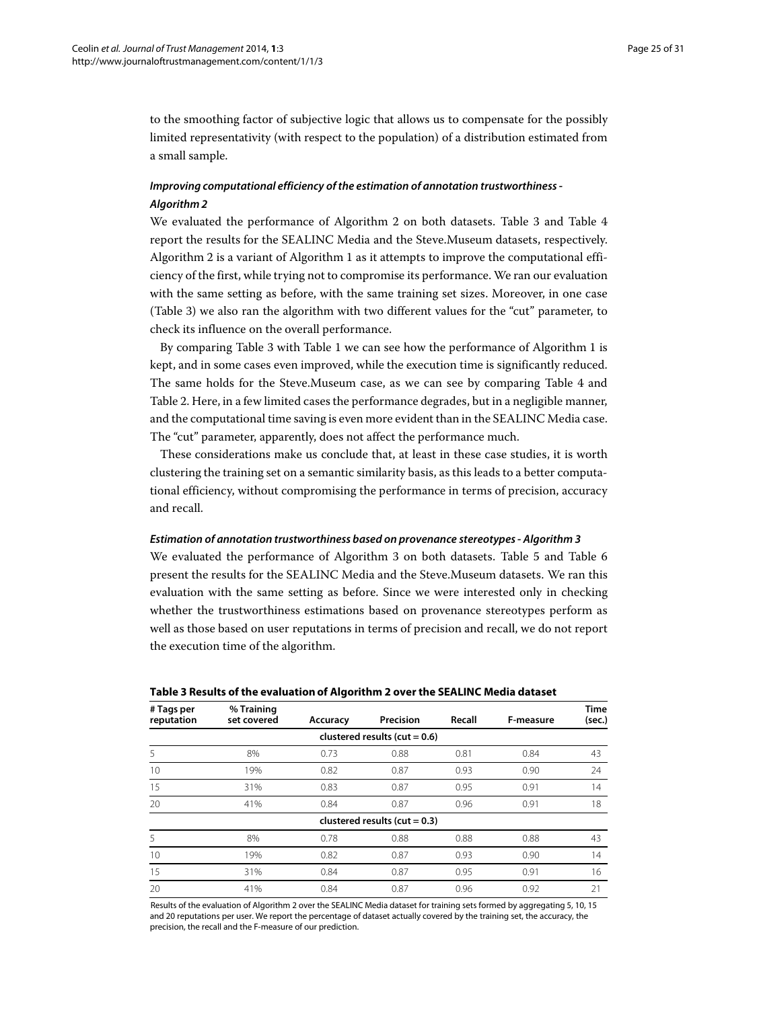to the smoothing factor of subjective logic that allows us to compensate for the possibly limited representativity (with respect to the population) of a distribution estimated from a small sample.

# *Improving computational efficiency of the estimation of annotation trustworthiness - Algorithm [2](#page-18-0)*

We evaluated the performance of Algorithm [2](#page-18-0) on both datasets. Table [3](#page-24-0) and Table [4](#page-25-0) report the results for the SEALINC Media and the Steve.Museum datasets, respectively. Algorithm [2](#page-18-0) is a variant of Algorithm [1](#page-17-0) as it attempts to improve the computational efficiency of the first, while trying not to compromise its performance. We ran our evaluation with the same setting as before, with the same training set sizes. Moreover, in one case (Table [3\)](#page-24-0) we also ran the algorithm with two different values for the "cut" parameter, to check its influence on the overall performance.

By comparing Table [3](#page-24-0) with Table [1](#page-11-0) we can see how the performance of Algorithm [1](#page-17-0) is kept, and in some cases even improved, while the execution time is significantly reduced. The same holds for the Steve.Museum case, as we can see by comparing Table [4](#page-25-0) and Table [2.](#page-12-0) Here, in a few limited cases the performance degrades, but in a negligible manner, and the computational time saving is even more evident than in the SEALINC Media case. The "cut" parameter, apparently, does not affect the performance much.

These considerations make us conclude that, at least in these case studies, it is worth clustering the training set on a semantic similarity basis, as this leads to a better computational efficiency, without compromising the performance in terms of precision, accuracy and recall.

### *Estimation of annotation trustworthiness based on provenance stereotypes - Algorithm [3](#page-20-0)*

We evaluated the performance of Algorithm [3](#page-20-0) on both datasets. Table [5](#page-25-1) and Table [6](#page-26-0) present the results for the SEALINC Media and the Steve.Museum datasets. We ran this evaluation with the same setting as before. Since we were interested only in checking whether the trustworthiness estimations based on provenance stereotypes perform as well as those based on user reputations in terms of precision and recall, we do not report the execution time of the algorithm.

<span id="page-24-0"></span>

| # Tags per | % Training  |          |                                   |        |           | <b>Time</b> |
|------------|-------------|----------|-----------------------------------|--------|-----------|-------------|
| reputation | set covered | Accuracy | Precision                         | Recall | F-measure | (sec.)      |
|            |             |          | clustered results ( $cut = 0.6$ ) |        |           |             |
| 5          | 8%          | 0.73     | 0.88                              | 0.81   | 0.84      | 43          |
| 10         | 19%         | 0.82     | 0.87                              | 0.93   | 0.90      | 24          |
| 15         | 31%         | 0.83     | 0.87                              | 0.95   | 0.91      | 14          |
| 20         | 41%         | 0.84     | 0.87                              | 0.96   | 0.91      | 18          |
|            |             |          | clustered results ( $cut = 0.3$ ) |        |           |             |
| 5          | 8%          | 0.78     | 0.88                              | 0.88   | 0.88      | 43          |
| 10         | 19%         | 0.82     | 0.87                              | 0.93   | 0.90      | 14          |
| 15         | 31%         | 0.84     | 0.87                              | 0.95   | 0.91      | 16          |
| 20         | 41%         | 0.84     | 0.87                              | 0.96   | 0.92      | 21          |

#### **Table 3 Results of the evaluation of Algorithm [2](#page-18-0) over the SEALINC Media dataset**

Results of the evaluation of Algorithm [2 o](#page-18-0)ver the SEALINC Media dataset for training sets formed by aggregating 5, 10, 15 and 20 reputations per user. We report the percentage of dataset actually covered by the training set, the accuracy, the precision, the recall and the F-measure of our prediction.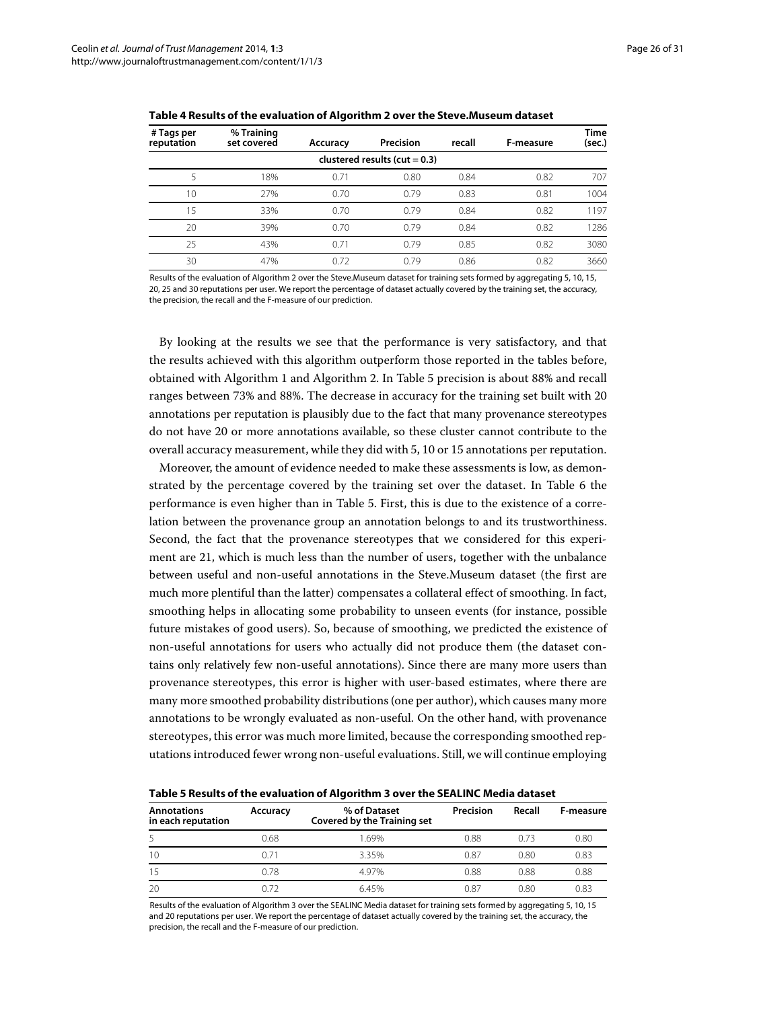<span id="page-25-0"></span>

| # Tags per<br>reputation | % Training<br>set covered | Accuracy | Precision                         | recall | F-measure | <b>Time</b><br>(sec.) |
|--------------------------|---------------------------|----------|-----------------------------------|--------|-----------|-----------------------|
|                          |                           |          | clustered results ( $cut = 0.3$ ) |        |           |                       |
| 5                        | 18%                       | 0.71     | 0.80                              | 0.84   | 0.82      | 707                   |
| 10                       | 27%                       | 0.70     | 0.79                              | 0.83   | 0.81      | 1004                  |
| 15                       | 33%                       | 0.70     | 0.79                              | 0.84   | 0.82      | 1197                  |
| 20                       | 39%                       | 0.70     | 0.79                              | 0.84   | 0.82      | 1286                  |
| 25                       | 43%                       | 0.71     | 0.79                              | 0.85   | 0.82      | 3080                  |
| 30                       | 47%                       | 0.72     | 0.79                              | 0.86   | 0.82      | 3660                  |

**Table 4 Results of the evaluation of Algorithm [2](#page-18-0) over the Steve.Museum dataset**

Results of the evaluation of Algorithm [2](#page-18-0) over the Steve.Museum dataset for training sets formed by aggregating 5, 10, 15, 20, 25 and 30 reputations per user. We report the percentage of dataset actually covered by the training set, the accuracy, the precision, the recall and the F-measure of our prediction.

By looking at the results we see that the performance is very satisfactory, and that the results achieved with this algorithm outperform those reported in the tables before, obtained with Algorithm [1](#page-17-0) and Algorithm [2.](#page-18-0) In Table [5](#page-25-1) precision is about 88% and recall ranges between 73% and 88%. The decrease in accuracy for the training set built with 20 annotations per reputation is plausibly due to the fact that many provenance stereotypes do not have 20 or more annotations available, so these cluster cannot contribute to the overall accuracy measurement, while they did with 5, 10 or 15 annotations per reputation.

Moreover, the amount of evidence needed to make these assessments is low, as demonstrated by the percentage covered by the training set over the dataset. In Table [6](#page-26-0) the performance is even higher than in Table [5.](#page-25-1) First, this is due to the existence of a correlation between the provenance group an annotation belongs to and its trustworthiness. Second, the fact that the provenance stereotypes that we considered for this experiment are 21, which is much less than the number of users, together with the unbalance between useful and non-useful annotations in the Steve.Museum dataset (the first are much more plentiful than the latter) compensates a collateral effect of smoothing. In fact, smoothing helps in allocating some probability to unseen events (for instance, possible future mistakes of good users). So, because of smoothing, we predicted the existence of non-useful annotations for users who actually did not produce them (the dataset contains only relatively few non-useful annotations). Since there are many more users than provenance stereotypes, this error is higher with user-based estimates, where there are many more smoothed probability distributions (one per author), which causes many more annotations to be wrongly evaluated as non-useful. On the other hand, with provenance stereotypes, this error was much more limited, because the corresponding smoothed reputations introduced fewer wrong non-useful evaluations. Still, we will continue employing

**Table 5 Results of the evaluation of Algorithm [3](#page-20-0) over the SEALINC Media dataset**

<span id="page-25-1"></span>

| <b>Annotations</b><br>in each reputation | Accuracy | % of Dataset<br><b>Covered by the Training set</b> | Precision | Recall | F-measure |
|------------------------------------------|----------|----------------------------------------------------|-----------|--------|-----------|
| 5                                        | 0.68     | .69%                                               | 0.88      | 0.73   | 0.80      |
| 10                                       | 0.71     | 3.35%                                              | 0.87      | 0.80   | 0.83      |
| 15                                       | 0.78     | 4.97%                                              | 0.88      | 0.88   | 0.88      |
| 20                                       | በ 72     | 6.45%                                              | 0.87      | 0.80   | 0.83      |

Results of the evaluation of Algorithm [3](#page-20-0) over the SEALINC Media dataset for training sets formed by aggregating 5, 10, 15 and 20 reputations per user. We report the percentage of dataset actually covered by the training set, the accuracy, the precision, the recall and the F-measure of our prediction.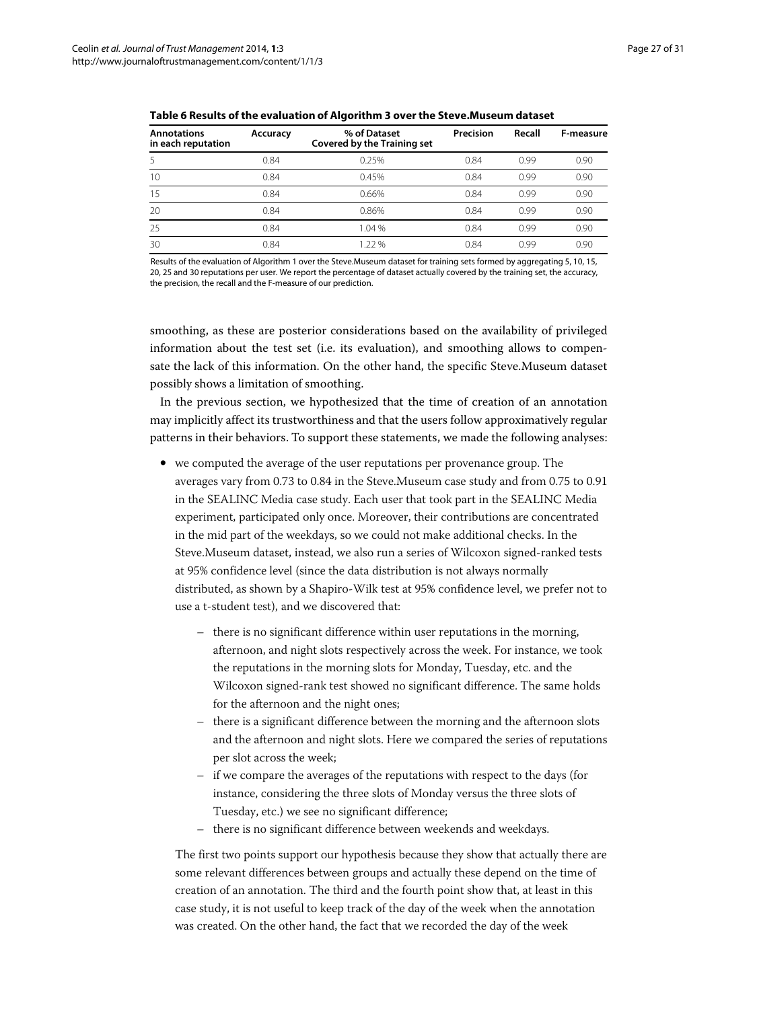<span id="page-26-0"></span>

| <b>Annotations</b><br>in each reputation | Accuracy | % of Dataset<br>Covered by the Training set | Precision | Recall | F-measure |
|------------------------------------------|----------|---------------------------------------------|-----------|--------|-----------|
| 5.                                       | 0.84     | 0.25%                                       | 0.84      | 0.99   | 0.90      |
| 10                                       | 0.84     | 0.45%                                       | 0.84      | 0.99   | 0.90      |
| 15                                       | 0.84     | 0.66%                                       | 0.84      | 0.99   | 0.90      |
| 20                                       | 0.84     | 0.86%                                       | 0.84      | 0.99   | 0.90      |
| 25                                       | 0.84     | 1.04%                                       | 0.84      | 0.99   | 0.90      |
| 30                                       | 0.84     | 1.22%                                       | 0.84      | 0.99   | 0.90      |

**Table 6 Results of the evaluation of Algorithm [3](#page-20-0) over the Steve.Museum dataset**

Results of the evaluation of Algorithm [1 o](#page-17-0)ver the Steve.Museum dataset for training sets formed by aggregating 5, 10, 15, 20, 25 and 30 reputations per user. We report the percentage of dataset actually covered by the training set, the accuracy, the precision, the recall and the F-measure of our prediction.

smoothing, as these are posterior considerations based on the availability of privileged information about the test set (i.e. its evaluation), and smoothing allows to compensate the lack of this information. On the other hand, the specific Steve.Museum dataset possibly shows a limitation of smoothing.

In the previous section, we hypothesized that the time of creation of an annotation may implicitly affect its trustworthiness and that the users follow approximatively regular patterns in their behaviors. To support these statements, we made the following analyses:

- we computed the average of the user reputations per provenance group. The averages vary from 0.73 to 0.84 in the Steve.Museum case study and from 0.75 to 0.91 in the SEALINC Media case study. Each user that took part in the SEALINC Media experiment, participated only once. Moreover, their contributions are concentrated in the mid part of the weekdays, so we could not make additional checks. In the Steve.Museum dataset, instead, we also run a series of Wilcoxon signed-ranked tests at 95% confidence level (since the data distribution is not always normally distributed, as shown by a Shapiro-Wilk test at 95% confidence level, we prefer not to use a t-student test), and we discovered that:
	- there is no significant difference within user reputations in the morning, afternoon, and night slots respectively across the week. For instance, we took the reputations in the morning slots for Monday, Tuesday, etc. and the Wilcoxon signed-rank test showed no significant difference. The same holds for the afternoon and the night ones;
	- there is a significant difference between the morning and the afternoon slots and the afternoon and night slots. Here we compared the series of reputations per slot across the week;
	- if we compare the averages of the reputations with respect to the days (for instance, considering the three slots of Monday versus the three slots of Tuesday, etc.) we see no significant difference;
	- there is no significant difference between weekends and weekdays.

The first two points support our hypothesis because they show that actually there are some relevant differences between groups and actually these depend on the time of creation of an annotation. The third and the fourth point show that, at least in this case study, it is not useful to keep track of the day of the week when the annotation was created. On the other hand, the fact that we recorded the day of the week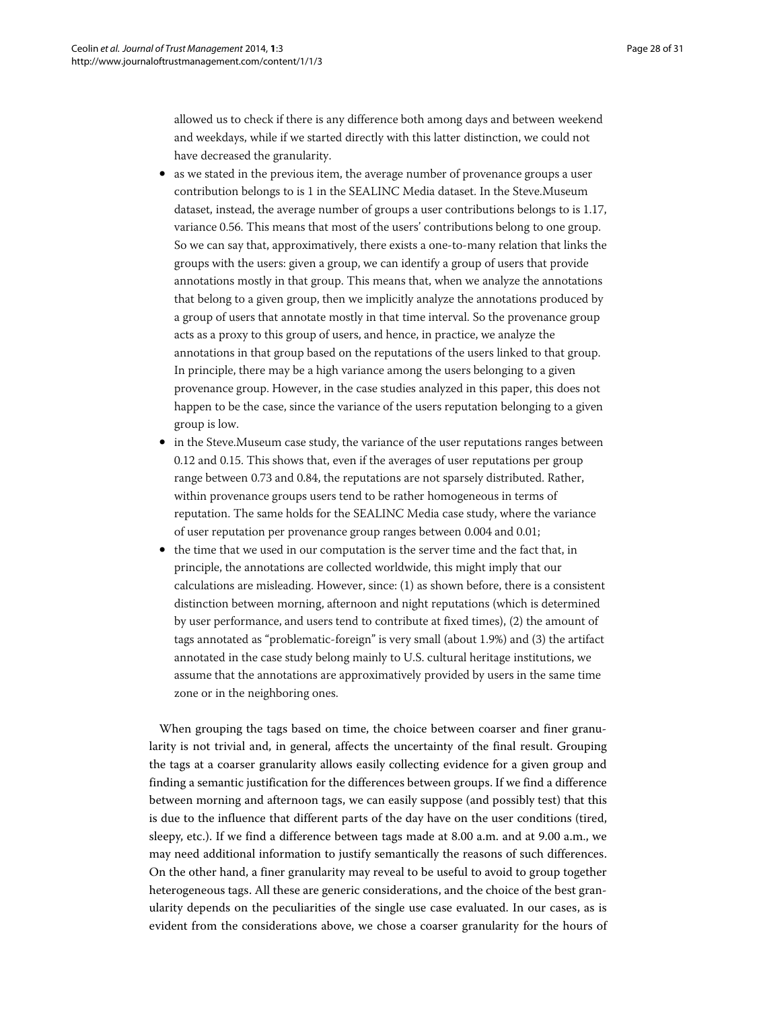allowed us to check if there is any difference both among days and between weekend and weekdays, while if we started directly with this latter distinction, we could not have decreased the granularity.

- as we stated in the previous item, the average number of provenance groups a user contribution belongs to is 1 in the SEALINC Media dataset. In the Steve.Museum dataset, instead, the average number of groups a user contributions belongs to is 1.17, variance 0.56. This means that most of the users' contributions belong to one group. So we can say that, approximatively, there exists a one-to-many relation that links the groups with the users: given a group, we can identify a group of users that provide annotations mostly in that group. This means that, when we analyze the annotations that belong to a given group, then we implicitly analyze the annotations produced by a group of users that annotate mostly in that time interval. So the provenance group acts as a proxy to this group of users, and hence, in practice, we analyze the annotations in that group based on the reputations of the users linked to that group. In principle, there may be a high variance among the users belonging to a given provenance group. However, in the case studies analyzed in this paper, this does not happen to be the case, since the variance of the users reputation belonging to a given group is low.
- in the Steve. Museum case study, the variance of the user reputations ranges between 0.12 and 0.15. This shows that, even if the averages of user reputations per group range between 0.73 and 0.84, the reputations are not sparsely distributed. Rather, within provenance groups users tend to be rather homogeneous in terms of reputation. The same holds for the SEALINC Media case study, where the variance of user reputation per provenance group ranges between 0.004 and 0.01;
- the time that we used in our computation is the server time and the fact that, in principle, the annotations are collected worldwide, this might imply that our calculations are misleading. However, since: (1) as shown before, there is a consistent distinction between morning, afternoon and night reputations (which is determined by user performance, and users tend to contribute at fixed times), (2) the amount of tags annotated as "problematic-foreign" is very small (about 1.9%) and (3) the artifact annotated in the case study belong mainly to U.S. cultural heritage institutions, we assume that the annotations are approximatively provided by users in the same time zone or in the neighboring ones.

When grouping the tags based on time, the choice between coarser and finer granularity is not trivial and, in general, affects the uncertainty of the final result. Grouping the tags at a coarser granularity allows easily collecting evidence for a given group and finding a semantic justification for the differences between groups. If we find a difference between morning and afternoon tags, we can easily suppose (and possibly test) that this is due to the influence that different parts of the day have on the user conditions (tired, sleepy, etc.). If we find a difference between tags made at 8.00 a.m. and at 9.00 a.m., we may need additional information to justify semantically the reasons of such differences. On the other hand, a finer granularity may reveal to be useful to avoid to group together heterogeneous tags. All these are generic considerations, and the choice of the best granularity depends on the peculiarities of the single use case evaluated. In our cases, as is evident from the considerations above, we chose a coarser granularity for the hours of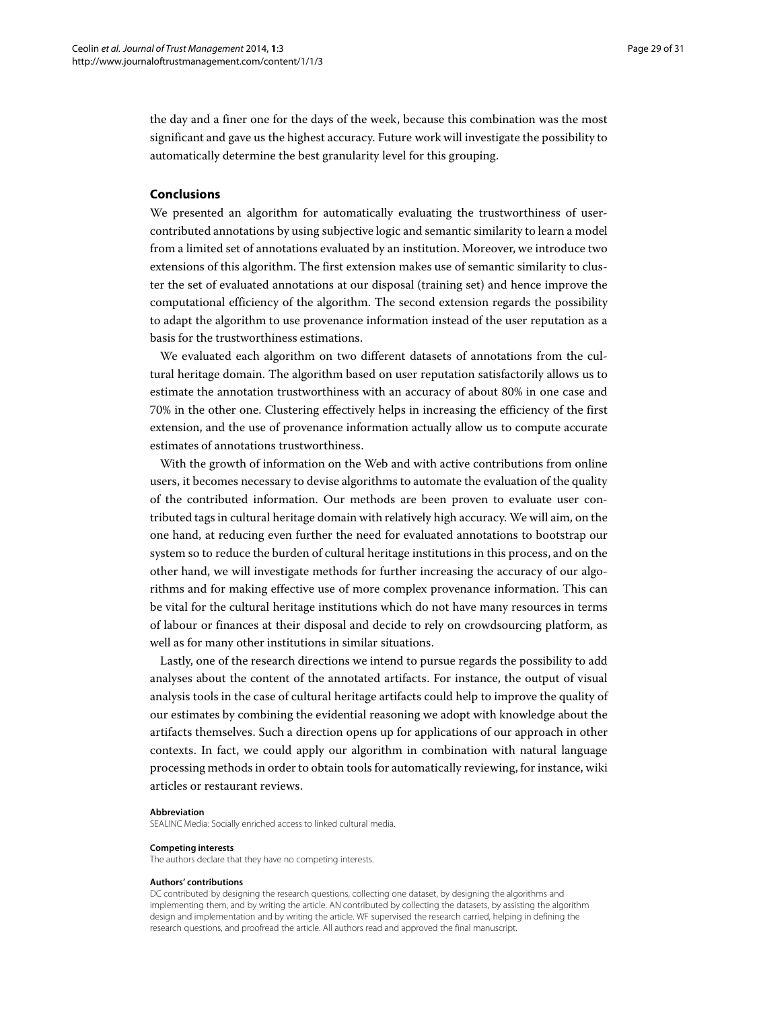the day and a finer one for the days of the week, because this combination was the most significant and gave us the highest accuracy. Future work will investigate the possibility to automatically determine the best granularity level for this grouping.

### **Conclusions**

We presented an algorithm for automatically evaluating the trustworthiness of usercontributed annotations by using subjective logic and semantic similarity to learn a model from a limited set of annotations evaluated by an institution. Moreover, we introduce two extensions of this algorithm. The first extension makes use of semantic similarity to cluster the set of evaluated annotations at our disposal (training set) and hence improve the computational efficiency of the algorithm. The second extension regards the possibility to adapt the algorithm to use provenance information instead of the user reputation as a basis for the trustworthiness estimations.

We evaluated each algorithm on two different datasets of annotations from the cultural heritage domain. The algorithm based on user reputation satisfactorily allows us to estimate the annotation trustworthiness with an accuracy of about 80% in one case and 70% in the other one. Clustering effectively helps in increasing the efficiency of the first extension, and the use of provenance information actually allow us to compute accurate estimates of annotations trustworthiness.

With the growth of information on the Web and with active contributions from online users, it becomes necessary to devise algorithms to automate the evaluation of the quality of the contributed information. Our methods are been proven to evaluate user contributed tags in cultural heritage domain with relatively high accuracy. We will aim, on the one hand, at reducing even further the need for evaluated annotations to bootstrap our system so to reduce the burden of cultural heritage institutions in this process, and on the other hand, we will investigate methods for further increasing the accuracy of our algorithms and for making effective use of more complex provenance information. This can be vital for the cultural heritage institutions which do not have many resources in terms of labour or finances at their disposal and decide to rely on crowdsourcing platform, as well as for many other institutions in similar situations.

Lastly, one of the research directions we intend to pursue regards the possibility to add analyses about the content of the annotated artifacts. For instance, the output of visual analysis tools in the case of cultural heritage artifacts could help to improve the quality of our estimates by combining the evidential reasoning we adopt with knowledge about the artifacts themselves. Such a direction opens up for applications of our approach in other contexts. In fact, we could apply our algorithm in combination with natural language processing methods in order to obtain tools for automatically reviewing, for instance, wiki articles or restaurant reviews.

#### **Abbreviation**

SEALINC Media: Socially enriched access to linked cultural media.

#### **Competing interests**

The authors declare that they have no competing interests.

#### **Authors' contributions**

DC contributed by designing the research questions, collecting one dataset, by designing the algorithms and implementing them, and by writing the article. AN contributed by collecting the datasets, by assisting the algorithm design and implementation and by writing the article. WF supervised the research carried, helping in defining the research questions, and proofread the article. All authors read and approved the final manuscript.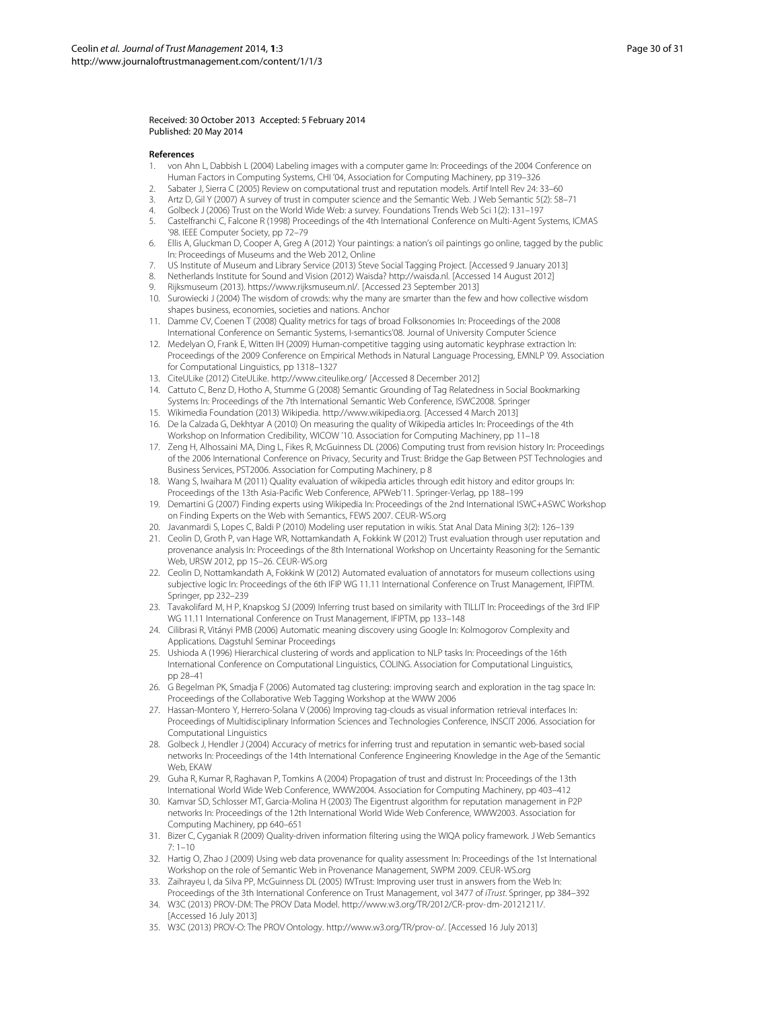#### Received: 30 October 2013 Accepted: 5 February 2014 Published: 20 May 2014

#### **References**

- <span id="page-29-0"></span>1. von Ahn L, Dabbish L (2004) Labeling images with a computer game In: Proceedings of the 2004 Conference on Human Factors in Computing Systems, CHI '04, Association for Computing Machinery, pp 319–326
- <span id="page-29-1"></span>2. Sabater J, Sierra C (2005) Review on computational trust and reputation models. Artif Intell Rev 24: 33–60
- <span id="page-29-2"></span>3. Artz D, Gil Y (2007) A survey of trust in computer science and the Semantic Web. J Web Semantic 5(2): 58–71
- <span id="page-29-3"></span>4. Golbeck J (2006) Trust on the World Wide Web: a survey. Foundations Trends Web Sci 1(2): 131–197
- <span id="page-29-4"></span>5. Castelfranchi C, Falcone R (1998) Proceedings of the 4th International Conference on Multi-Agent Systems, ICMAS '98. IEEE Computer Society, pp 72–79
- <span id="page-29-5"></span>6. Ellis A, Gluckman D, Cooper A, Greg A (2012) Your paintings: a nation's oil paintings go online, tagged by the public In: Proceedings of Museums and the Web 2012, Online
- <span id="page-29-6"></span>7. US Institute of Museum and Library Service (2013) Steve Social Tagging Project. [Accessed 9 January 2013]
- <span id="page-29-7"></span>8. Netherlands Institute for Sound and Vision (2012) Waisda? [http://waisda.nl.](http://waisda.nl) [Accessed 14 August 2012]
- <span id="page-29-8"></span>9. Rijksmuseum (2013). [https://www.rijksmuseum.nl/.](https://www.rijksmuseum.nl/) [Accessed 23 September 2013]
- <span id="page-29-9"></span>10. Surowiecki J (2004) The wisdom of crowds: why the many are smarter than the few and how collective wisdom shapes business, economies, societies and nations. Anchor
- <span id="page-29-10"></span>11. Damme CV, Coenen T (2008) Quality metrics for tags of broad Folksonomies In: Proceedings of the 2008 International Conference on Semantic Systems, I-semantics'08. Journal of University Computer Science
- <span id="page-29-11"></span>12. Medelyan O, Frank E, Witten IH (2009) Human-competitive tagging using automatic keyphrase extraction In: Proceedings of the 2009 Conference on Empirical Methods in Natural Language Processing, EMNLP '09. Association for Computational Linguistics, pp 1318–1327
- <span id="page-29-12"></span>13. CiteULike (2012) CiteULike.<http://www.citeulike.org/> [Accessed 8 December 2012]
- <span id="page-29-13"></span>14. Cattuto C, Benz D, Hotho A, Stumme G (2008) Semantic Grounding of Tag Relatedness in Social Bookmarking Systems In: Proceedings of the 7th International Semantic Web Conference, ISWC2008. Springer
- <span id="page-29-14"></span>15. Wikimedia Foundation (2013) Wikipedia. [http://www.wikipedia.org.](http://www.wikipedia.org) [Accessed 4 March 2013]
- <span id="page-29-15"></span>16. De la Calzada G, Dekhtyar A (2010) On measuring the quality of Wikipedia articles In: Proceedings of the 4th Workshop on Information Credibility, WICOW '10. Association for Computing Machinery, pp 11–18
- <span id="page-29-16"></span>17. Zeng H, Alhossaini MA, Ding L, Fikes R, McGuinness DL (2006) Computing trust from revision history In: Proceedings of the 2006 International Conference on Privacy, Security and Trust: Bridge the Gap Between PST Technologies and Business Services, PST2006. Association for Computing Machinery, p 8
- <span id="page-29-17"></span>18. Wang S, Iwaihara M (2011) Quality evaluation of wikipedia articles through edit history and editor groups In: Proceedings of the 13th Asia-Pacific Web Conference, APWeb'11. Springer-Verlag, pp 188–199
- <span id="page-29-18"></span>19. Demartini G (2007) Finding experts using Wikipedia In: Proceedings of the 2nd International ISWC+ASWC Workshop on Finding Experts on the Web with Semantics, FEWS 2007.<CEUR-WS.org>
- <span id="page-29-19"></span>20. Javanmardi S, Lopes C, Baldi P (2010) Modeling user reputation in wikis. Stat Anal Data Mining 3(2): 126–139
- <span id="page-29-20"></span>21. Ceolin D, Groth P, van Hage WR, Nottamkandath A, Fokkink W (2012) Trust evaluation through user reputation and provenance analysis In: Proceedings of the 8th International Workshop on Uncertainty Reasoning for the Semantic Web, URSW 2012, pp 15–26.<CEUR-WS.org>
- <span id="page-29-21"></span>22. Ceolin D, Nottamkandath A, Fokkink W (2012) Automated evaluation of annotators for museum collections using subjective logic In: Proceedings of the 6th IFIP WG 11.11 International Conference on Trust Management, IFIPTM. Springer, pp 232–239
- <span id="page-29-22"></span>23. Tavakolifard M, H P, Knapskog SJ (2009) Inferring trust based on similarity with TILLIT In: Proceedings of the 3rd IFIP WG 11.11 International Conference on Trust Management, IFIPTM, pp 133–148
- <span id="page-29-23"></span>24. Cilibrasi R, Vitányi PMB (2006) Automatic meaning discovery using Google In: Kolmogorov Complexity and Applications. Dagstuhl Seminar Proceedings
- <span id="page-29-24"></span>25. Ushioda A (1996) Hierarchical clustering of words and application to NLP tasks In: Proceedings of the 16th International Conference on Computational Linguistics, COLING. Association for Computational Linguistics, pp 28–41
- <span id="page-29-25"></span>26. G Begelman PK, Smadja F (2006) Automated tag clustering: improving search and exploration in the tag space In: Proceedings of the Collaborative Web Tagging Workshop at the WWW 2006
- <span id="page-29-26"></span>27. Hassan-Montero Y, Herrero-Solana V (2006) Improving tag-clouds as visual information retrieval interfaces In: Proceedings of Multidisciplinary Information Sciences and Technologies Conference, INSCIT 2006. Association for Computational Linguistics
- <span id="page-29-27"></span>28. Golbeck J, Hendler J (2004) Accuracy of metrics for inferring trust and reputation in semantic web-based social networks In: Proceedings of the 14th International Conference Engineering Knowledge in the Age of the Semantic Web, EKAW
- <span id="page-29-28"></span>29. Guha R, Kumar R, Raghavan P, Tomkins A (2004) Propagation of trust and distrust In: Proceedings of the 13th International World Wide Web Conference, WWW2004. Association for Computing Machinery, pp 403–412
- <span id="page-29-29"></span>30. Kamvar SD, Schlosser MT, Garcia-Molina H (2003) The Eigentrust algorithm for reputation management in P2P networks In: Proceedings of the 12th International World Wide Web Conference, WWW2003. Association for Computing Machinery, pp 640–651
- <span id="page-29-30"></span>31. Bizer C, Cyganiak R (2009) Quality-driven information filtering using the WIQA policy framework. J Web Semantics 7: 1–10
- <span id="page-29-31"></span>32. Hartig O, Zhao J (2009) Using web data provenance for quality assessment In: Proceedings of the 1st International Workshop on the role of Semantic Web in Provenance Management, SWPM 2009.<CEUR-WS.org>
- <span id="page-29-32"></span>33. Zaihrayeu I, da Silva PP, McGuinness DL (2005) IWTrust: Improving user trust in answers from the Web In: Proceedings of the 3th International Conference on Trust Management, vol 3477 of *iTrust*. Springer, pp 384–392
- <span id="page-29-33"></span>34. W3C (2013) PROV-DM: The PROV Data Model. [http://www.w3.org/TR/2012/CR-prov-dm-20121211/.](http://www.w3.org/TR/2012/CR-prov-dm-20121211/) [Accessed 16 July 2013]
- <span id="page-29-34"></span>35. W3C (2013) PROV-O: The PROV Ontology. [http://www.w3.org/TR/prov-o/.](http://www.w3.org/TR/prov-o/) [Accessed 16 July 2013]